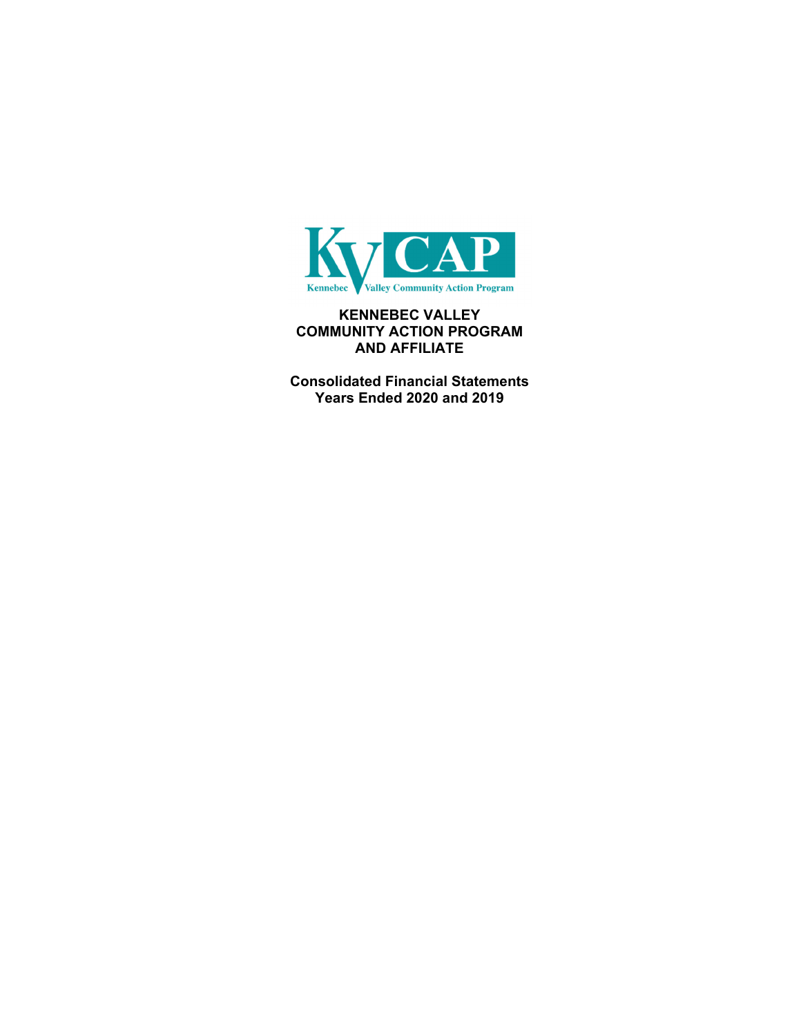

**KENNEBEC VALLEY COMMUNITY ACTION PROGRAM AND AFFILIATE** 

**Consolidated Financial Statements Years Ended 2020 and 2019**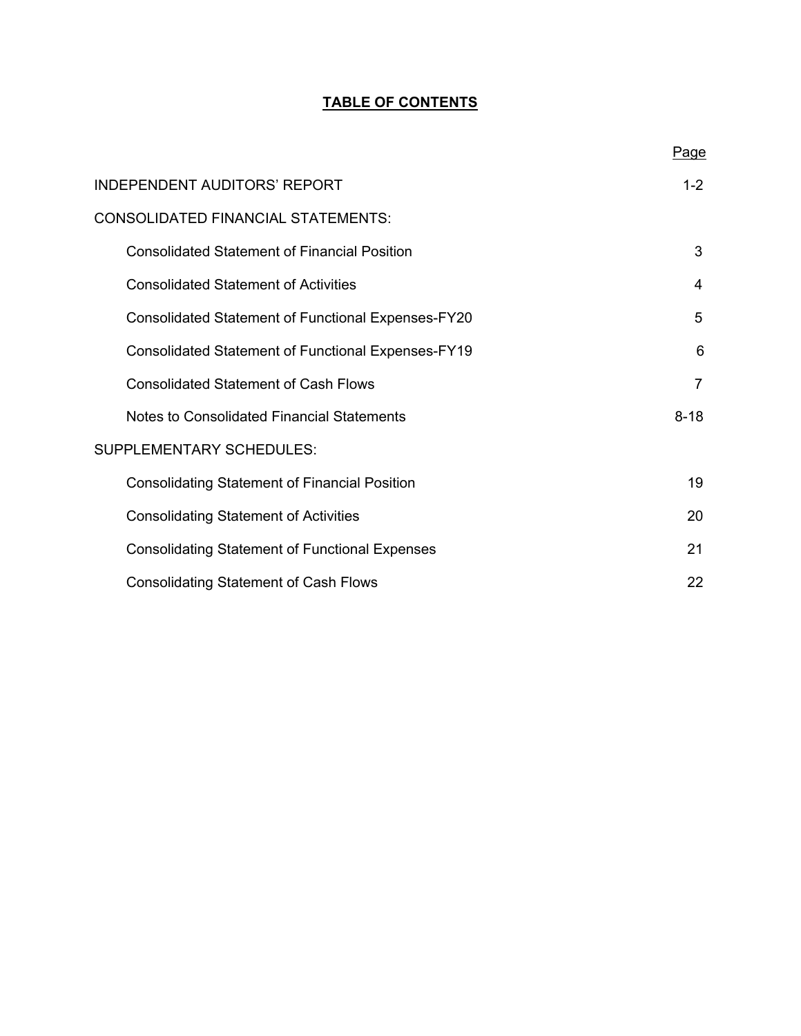# **TABLE OF CONTENTS**

|                                                           | Page           |
|-----------------------------------------------------------|----------------|
| INDEPENDENT AUDITORS' REPORT                              | $1 - 2$        |
| <b>CONSOLIDATED FINANCIAL STATEMENTS:</b>                 |                |
| <b>Consolidated Statement of Financial Position</b>       | 3              |
| <b>Consolidated Statement of Activities</b>               | 4              |
| <b>Consolidated Statement of Functional Expenses-FY20</b> | 5              |
| <b>Consolidated Statement of Functional Expenses-FY19</b> | 6              |
| <b>Consolidated Statement of Cash Flows</b>               | $\overline{7}$ |
| Notes to Consolidated Financial Statements                | $8 - 18$       |
| <b>SUPPLEMENTARY SCHEDULES:</b>                           |                |
| <b>Consolidating Statement of Financial Position</b>      | 19             |
| <b>Consolidating Statement of Activities</b>              | 20             |
| <b>Consolidating Statement of Functional Expenses</b>     | 21             |
| <b>Consolidating Statement of Cash Flows</b>              | 22             |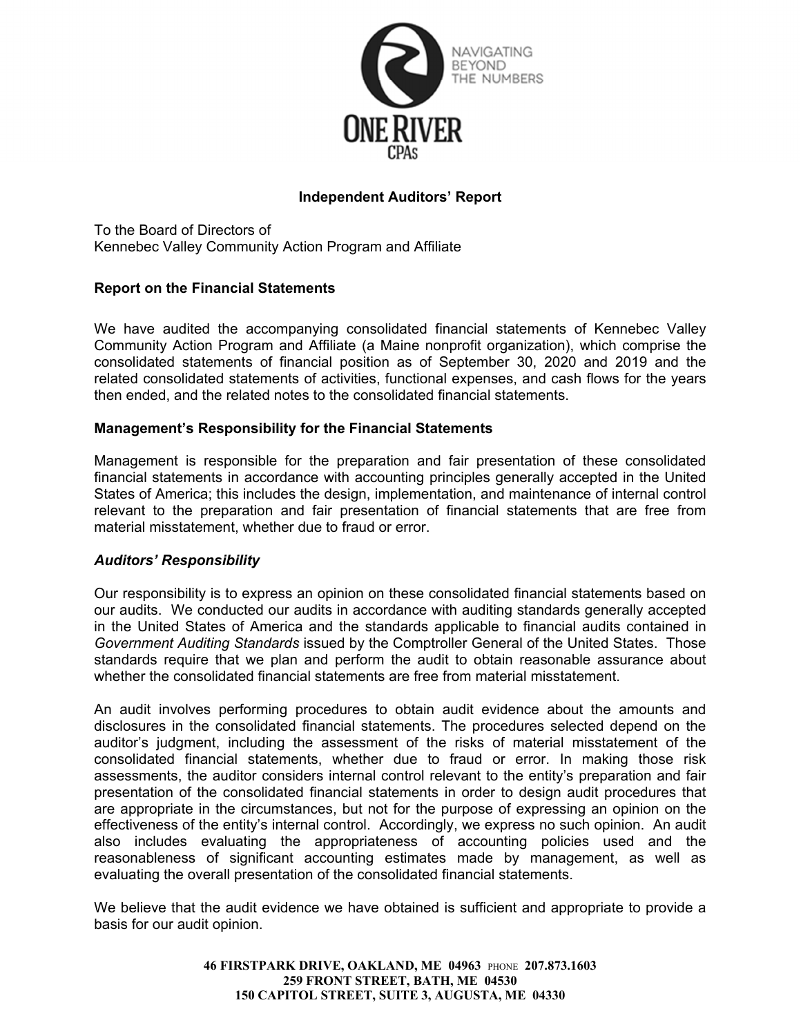

#### **Independent Auditors' Report**

To the Board of Directors of Kennebec Valley Community Action Program and Affiliate

#### **Report on the Financial Statements**

We have audited the accompanying consolidated financial statements of Kennebec Valley Community Action Program and Affiliate (a Maine nonprofit organization), which comprise the consolidated statements of financial position as of September 30, 2020 and 2019 and the related consolidated statements of activities, functional expenses, and cash flows for the years then ended, and the related notes to the consolidated financial statements.

#### **Management's Responsibility for the Financial Statements**

Management is responsible for the preparation and fair presentation of these consolidated financial statements in accordance with accounting principles generally accepted in the United States of America; this includes the design, implementation, and maintenance of internal control relevant to the preparation and fair presentation of financial statements that are free from material misstatement, whether due to fraud or error.

#### *Auditors' Responsibility*

Our responsibility is to express an opinion on these consolidated financial statements based on our audits. We conducted our audits in accordance with auditing standards generally accepted in the United States of America and the standards applicable to financial audits contained in *Government Auditing Standards* issued by the Comptroller General of the United States. Those standards require that we plan and perform the audit to obtain reasonable assurance about whether the consolidated financial statements are free from material misstatement.

An audit involves performing procedures to obtain audit evidence about the amounts and disclosures in the consolidated financial statements. The procedures selected depend on the auditor's judgment, including the assessment of the risks of material misstatement of the consolidated financial statements, whether due to fraud or error. In making those risk assessments, the auditor considers internal control relevant to the entity's preparation and fair presentation of the consolidated financial statements in order to design audit procedures that are appropriate in the circumstances, but not for the purpose of expressing an opinion on the effectiveness of the entity's internal control. Accordingly, we express no such opinion. An audit also includes evaluating the appropriateness of accounting policies used and the reasonableness of significant accounting estimates made by management, as well as evaluating the overall presentation of the consolidated financial statements.

We believe that the audit evidence we have obtained is sufficient and appropriate to provide a basis for our audit opinion.

> **46 FIRSTPARK DRIVE, OAKLAND, ME 04963** PHONE **207.873.1603 259 FRONT STREET, BATH, ME 04530 150 CAPITOL STREET, SUITE 3, AUGUSTA, ME 04330**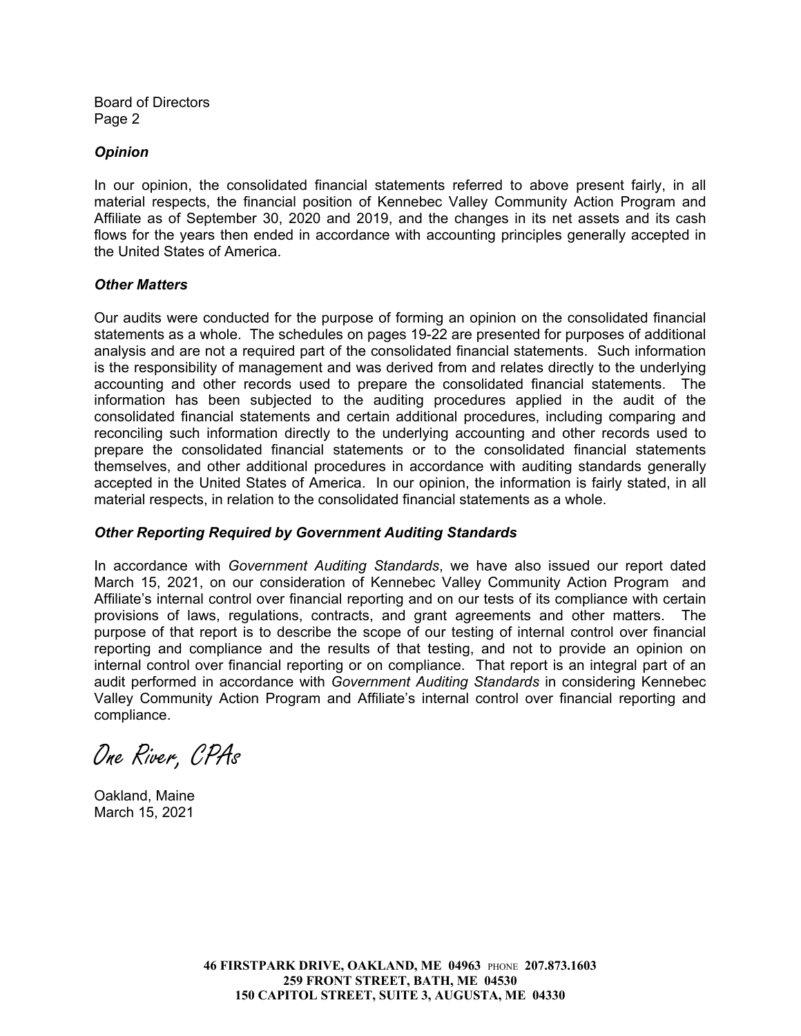Board of Directors Page 2

#### *Opinion*

In our opinion, the consolidated financial statements referred to above present fairly, in all material respects, the financial position of Kennebec Valley Community Action Program and Affiliate as of September 30, 2020 and 2019, and the changes in its net assets and its cash flows for the years then ended in accordance with accounting principles generally accepted in the United States of America.

#### *Other Matters*

Our audits were conducted for the purpose of forming an opinion on the consolidated financial statements as a whole. The schedules on pages 19-22 are presented for purposes of additional analysis and are not a required part of the consolidated financial statements. Such information is the responsibility of management and was derived from and relates directly to the underlying accounting and other records used to prepare the consolidated financial statements. The information has been subjected to the auditing procedures applied in the audit of the consolidated financial statements and certain additional procedures, including comparing and reconciling such information directly to the underlying accounting and other records used to prepare the consolidated financial statements or to the consolidated financial statements themselves, and other additional procedures in accordance with auditing standards generally accepted in the United States of America. In our opinion, the information is fairly stated, in all material respects, in relation to the consolidated financial statements as a whole.

#### *Other Reporting Required by Government Auditing Standards*

In accordance with *Government Auditing Standards*, we have also issued our report dated March 15, 2021, on our consideration of Kennebec Valley Community Action Program and Affiliate's internal control over financial reporting and on our tests of its compliance with certain provisions of laws, regulations, contracts, and grant agreements and other matters. The purpose of that report is to describe the scope of our testing of internal control over financial reporting and compliance and the results of that testing, and not to provide an opinion on internal control over financial reporting or on compliance. That report is an integral part of an audit performed in accordance with *Government Auditing Standards* in considering Kennebec Valley Community Action Program and Affiliate's internal control over financial reporting and compliance.

One River, CPAs

Oakland, Maine March 15, 2021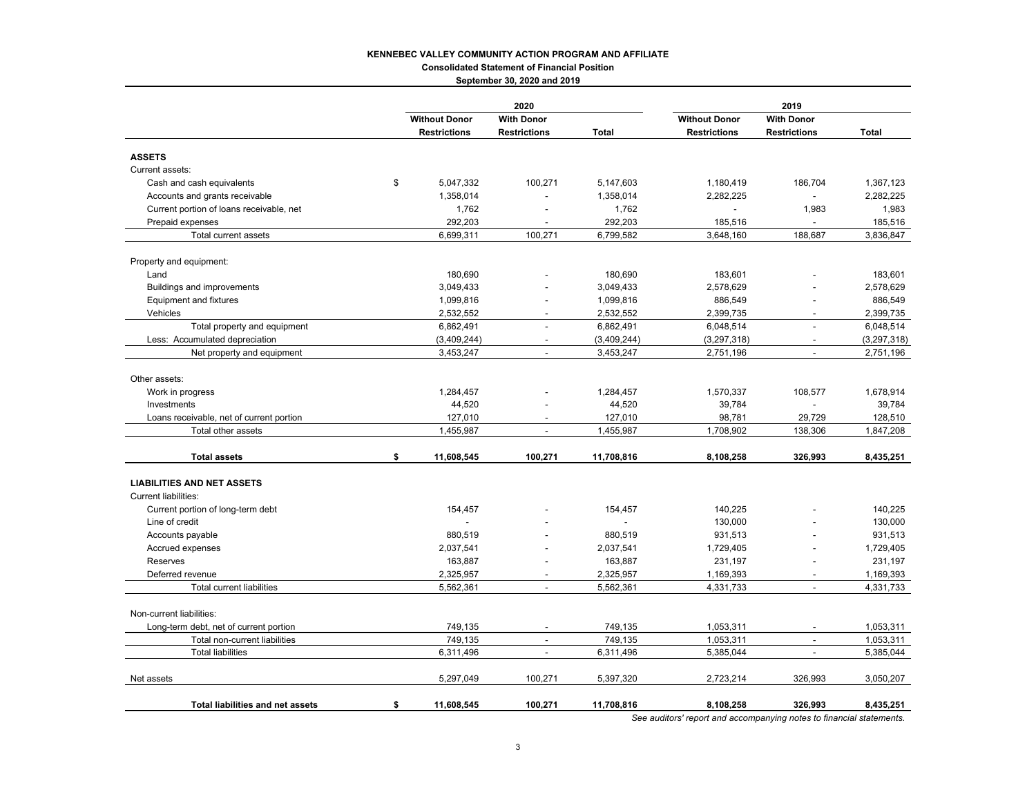#### **KENNEBEC VALLEY COMMUNITY ACTION PROGRAM AND AFFILIATE Consolidated Statement of Financial Position**

| September 30, 2020 and 2019 |  |  |  |  |
|-----------------------------|--|--|--|--|
|-----------------------------|--|--|--|--|

|                                          |     | 2020                 |                          |              |                      |                           |               |
|------------------------------------------|-----|----------------------|--------------------------|--------------|----------------------|---------------------------|---------------|
|                                          |     | <b>Without Donor</b> | <b>With Donor</b>        |              | <b>Without Donor</b> | 2019<br><b>With Donor</b> |               |
|                                          |     | <b>Restrictions</b>  | <b>Restrictions</b>      | <b>Total</b> | <b>Restrictions</b>  | <b>Restrictions</b>       | <b>Total</b>  |
|                                          |     |                      |                          |              |                      |                           |               |
| <b>ASSETS</b>                            |     |                      |                          |              |                      |                           |               |
| Current assets:                          |     |                      |                          |              |                      |                           |               |
| Cash and cash equivalents                | \$  | 5,047,332            | 100,271                  | 5,147,603    | 1,180,419            | 186,704                   | 1,367,123     |
| Accounts and grants receivable           |     | 1,358,014            | $\overline{a}$           | 1,358,014    | 2,282,225            | $\blacksquare$            | 2,282,225     |
| Current portion of loans receivable, net |     | 1,762                |                          | 1,762        |                      | 1,983                     | 1,983         |
| Prepaid expenses                         |     | 292,203              | $\overline{a}$           | 292,203      | 185,516              | $\blacksquare$            | 185,516       |
| Total current assets                     |     | 6,699,311            | 100,271                  | 6,799,582    | 3,648,160            | 188,687                   | 3,836,847     |
| Property and equipment:                  |     |                      |                          |              |                      |                           |               |
| Land                                     |     | 180,690              |                          | 180,690      | 183,601              |                           | 183,601       |
| Buildings and improvements               |     | 3,049,433            |                          | 3,049,433    | 2,578,629            |                           | 2,578,629     |
| <b>Equipment and fixtures</b>            |     | 1,099,816            |                          | 1,099,816    | 886,549              |                           | 886,549       |
| Vehicles                                 |     | 2,532,552            | $\overline{a}$           | 2.532.552    | 2,399,735            | $\overline{\phantom{a}}$  | 2,399,735     |
| Total property and equipment             |     | 6,862,491            | $\overline{a}$           | 6,862,491    | 6,048,514            |                           | 6,048,514     |
| Less: Accumulated depreciation           |     | (3,409,244)          | $\overline{a}$           | (3,409,244)  | (3, 297, 318)        | $\overline{a}$            | (3, 297, 318) |
| Net property and equipment               |     | 3,453,247            | $\overline{a}$           | 3,453,247    | 2,751,196            | $\overline{\phantom{a}}$  | 2,751,196     |
|                                          |     |                      |                          |              |                      |                           |               |
| Other assets:                            |     |                      |                          |              |                      |                           |               |
| Work in progress                         |     | 1,284,457            |                          | 1,284,457    | 1,570,337            | 108,577                   | 1,678,914     |
| Investments                              |     | 44,520               |                          | 44,520       | 39,784               |                           | 39,784        |
| Loans receivable, net of current portion |     | 127,010              |                          | 127,010      | 98,781               | 29,729                    | 128,510       |
| Total other assets                       |     | 1,455,987            | $\overline{a}$           | 1,455,987    | 1,708,902            | 138,306                   | 1,847,208     |
| <b>Total assets</b>                      | \$  | 11,608,545           | 100,271                  | 11,708,816   | 8,108,258            | 326,993                   | 8,435,251     |
| <b>LIABILITIES AND NET ASSETS</b>        |     |                      |                          |              |                      |                           |               |
| <b>Current liabilities:</b>              |     |                      |                          |              |                      |                           |               |
| Current portion of long-term debt        |     | 154,457              |                          | 154,457      | 140,225              |                           | 140,225       |
| Line of credit                           |     |                      |                          |              | 130,000              |                           | 130,000       |
|                                          |     |                      |                          |              |                      |                           | 931,513       |
| Accounts payable                         |     | 880,519              |                          | 880,519      | 931,513              |                           |               |
| Accrued expenses                         |     | 2,037,541            |                          | 2,037,541    | 1,729,405            |                           | 1,729,405     |
| Reserves                                 |     | 163,887              |                          | 163,887      | 231,197              |                           | 231,197       |
| Deferred revenue                         |     | 2,325,957            |                          | 2,325,957    | 1,169,393            |                           | 1,169,393     |
| Total current liabilities                |     | 5,562,361            | $\overline{a}$           | 5,562,361    | 4,331,733            | $\overline{a}$            | 4,331,733     |
| Non-current liabilities:                 |     |                      |                          |              |                      |                           |               |
| Long-term debt, net of current portion   |     | 749,135              | $\blacksquare$           | 749,135      | 1,053,311            | $\blacksquare$            | 1,053,311     |
| Total non-current liabilities            |     | 749,135              | $\overline{\phantom{a}}$ | 749,135      | 1,053,311            | $\overline{\phantom{a}}$  | 1,053,311     |
| <b>Total liabilities</b>                 |     | 6,311,496            | $\overline{a}$           | 6,311,496    | 5,385,044            | $\overline{a}$            | 5,385,044     |
| Net assets                               |     | 5,297,049            | 100,271                  | 5,397,320    | 2,723,214            | 326,993                   | 3,050,207     |
| <b>Total liabilities and net assets</b>  | \$. | 11,608,545           | 100,271                  | 11,708,816   | 8,108,258            | 326.993                   | 8,435,251     |

*See auditors' report and accompanying notes to financial statements.*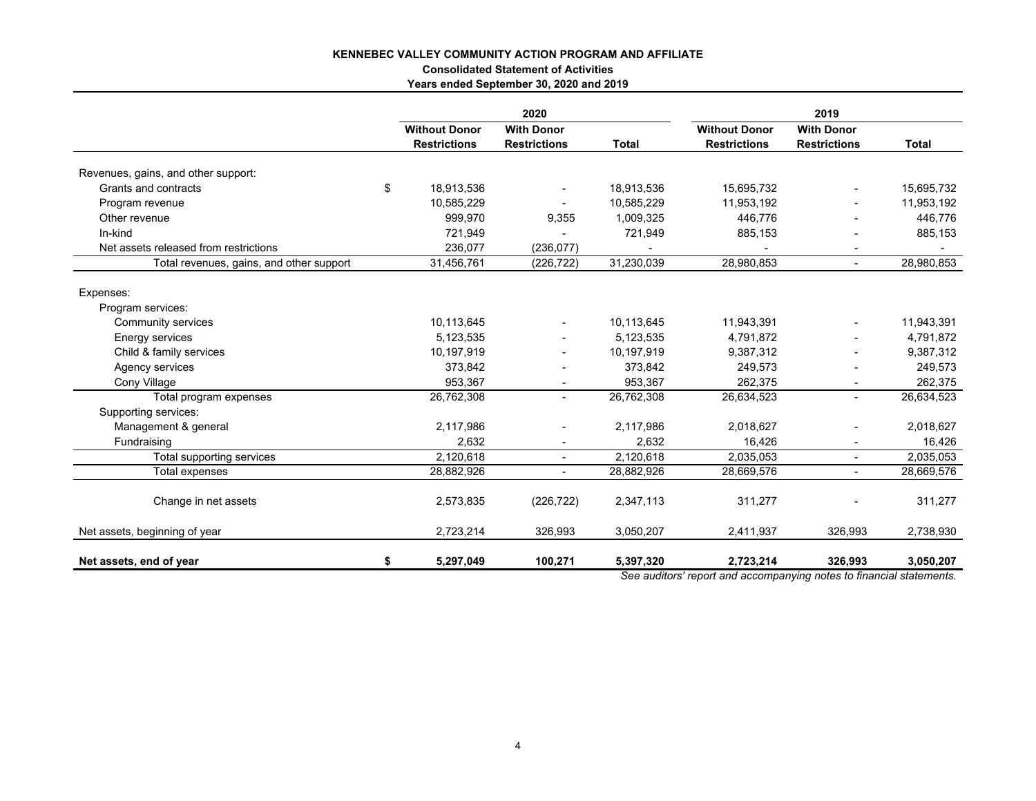#### **KENNEBEC VALLEY COMMUNITY ACTION PROGRAM AND AFFILIATE Consolidated Statement of Activities Years ended September 30, 2020 and 2019**

|                                          |                      | 2020                |              |                      | 2019                     |              |
|------------------------------------------|----------------------|---------------------|--------------|----------------------|--------------------------|--------------|
|                                          | <b>Without Donor</b> | <b>With Donor</b>   |              | <b>Without Donor</b> | <b>With Donor</b>        |              |
|                                          | <b>Restrictions</b>  | <b>Restrictions</b> | <b>Total</b> | <b>Restrictions</b>  | <b>Restrictions</b>      | <b>Total</b> |
| Revenues, gains, and other support:      |                      |                     |              |                      |                          |              |
| Grants and contracts                     | \$<br>18,913,536     |                     | 18,913,536   | 15,695,732           |                          | 15,695,732   |
| Program revenue                          | 10,585,229           |                     | 10,585,229   | 11,953,192           |                          | 11,953,192   |
| Other revenue                            | 999.970              | 9.355               | 1,009,325    | 446.776              |                          | 446,776      |
| In-kind                                  | 721,949              |                     | 721,949      | 885,153              |                          | 885,153      |
| Net assets released from restrictions    | 236,077              | (236, 077)          |              |                      |                          |              |
| Total revenues, gains, and other support | 31,456,761           | (226, 722)          | 31,230,039   | 28,980,853           |                          | 28,980,853   |
| Expenses:                                |                      |                     |              |                      |                          |              |
| Program services:                        |                      |                     |              |                      |                          |              |
| Community services                       | 10,113,645           |                     | 10,113,645   | 11,943,391           |                          | 11,943,391   |
| Energy services                          | 5,123,535            |                     | 5,123,535    | 4,791,872            |                          | 4,791,872    |
| Child & family services                  | 10,197,919           |                     | 10,197,919   | 9,387,312            |                          | 9,387,312    |
| Agency services                          | 373,842              |                     | 373,842      | 249,573              |                          | 249,573      |
| Cony Village                             | 953,367              |                     | 953,367      | 262,375              |                          | 262,375      |
| Total program expenses                   | 26,762,308           |                     | 26,762,308   | 26,634,523           |                          | 26,634,523   |
| Supporting services:                     |                      |                     |              |                      |                          |              |
| Management & general                     | 2,117,986            |                     | 2,117,986    | 2,018,627            |                          | 2,018,627    |
| Fundraising                              | 2,632                |                     | 2,632        | 16,426               |                          | 16,426       |
| Total supporting services                | 2,120,618            | $\blacksquare$      | 2,120,618    | 2,035,053            | $\overline{\phantom{0}}$ | 2,035,053    |
| Total expenses                           | 28.882.926           | $\sim$              | 28,882,926   | 28,669,576           | $\sim$                   | 28,669,576   |
|                                          |                      |                     |              |                      |                          |              |
| Change in net assets                     | 2,573,835            | (226, 722)          | 2,347,113    | 311,277              |                          | 311,277      |
| Net assets, beginning of year            | 2,723,214            | 326,993             | 3,050,207    | 2,411,937            | 326,993                  | 2,738,930    |
| Net assets, end of year                  | \$<br>5,297,049      | 100,271             | 5,397,320    | 2,723,214            | 326,993                  | 3,050,207    |

*See auditors' report and accompanying notes to financial statements.*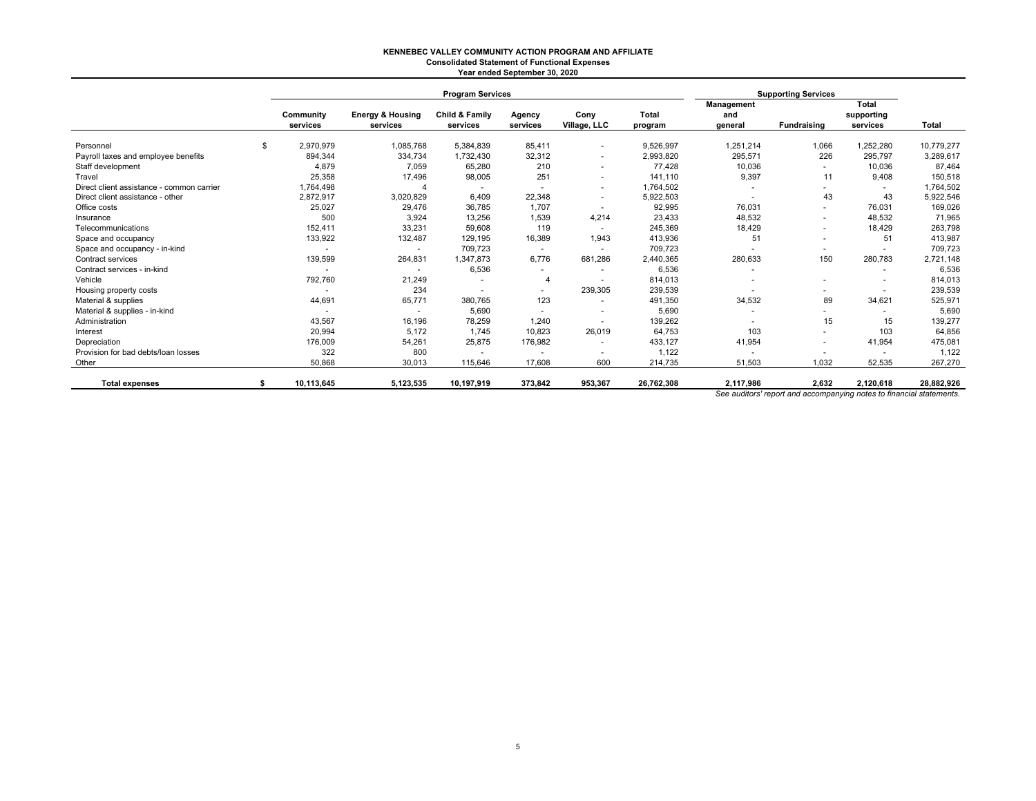#### **KENNEBEC VALLEY COMMUNITY ACTION PROGRAM AND AFFILIATE Consolidated Statement of Functional Expenses Year ended September 30, 2020**

|                                           |                | <b>Program Services</b> |                                         |                            |                          |                          |                         | <b>Supporting Services</b> |                                                                      |                        |              |
|-------------------------------------------|----------------|-------------------------|-----------------------------------------|----------------------------|--------------------------|--------------------------|-------------------------|----------------------------|----------------------------------------------------------------------|------------------------|--------------|
|                                           |                |                         |                                         |                            |                          |                          |                         | Management                 |                                                                      | <b>Total</b>           |              |
|                                           |                | Community<br>services   | <b>Energy &amp; Housing</b><br>services | Child & Family<br>services | Agency<br>services       | Cony<br>Village, LLC     | <b>Total</b><br>program | and<br>general             | <b>Fundraising</b>                                                   | supporting<br>services | <b>Total</b> |
| Personnel                                 | $\mathfrak{L}$ | 2,970,979               | 1,085,768                               | 5,384,839                  | 85,411                   | $\overline{\phantom{a}}$ | 9,526,997               | 1,251,214                  | 1.066                                                                | 1,252,280              | 10,779,277   |
| Payroll taxes and employee benefits       |                | 894.344                 | 334.734                                 | 1,732,430                  | 32,312                   | ٠                        | 2,993,820               | 295,571                    | 226                                                                  | 295,797                | 3,289,617    |
| Staff development                         |                | 4,879                   | 7.059                                   | 65,280                     | 210                      | $\overline{\phantom{a}}$ | 77.428                  | 10,036                     |                                                                      | 10.036                 | 87,464       |
| Travel                                    |                | 25,358                  | 17.496                                  | 98,005                     | 251                      | $\overline{\phantom{a}}$ | 141.110                 | 9,397                      | 11                                                                   | 9,408                  | 150,518      |
| Direct client assistance - common carrier |                | 1,764,498               | 4                                       | $\overline{\phantom{a}}$   | $\sim$                   | $\overline{\phantom{a}}$ | 1,764,502               |                            | $\sim$                                                               | $\sim$                 | 1,764,502    |
| Direct client assistance - other          |                | 2,872,917               | 3,020,829                               | 6,409                      | 22,348                   | ٠                        | 5,922,503               | $\sim$                     | 43                                                                   | 43                     | 5,922,546    |
| Office costs                              |                | 25,027                  | 29.476                                  | 36.785                     | 1.707                    | ٠                        | 92,995                  | 76.031                     | $\overline{\phantom{a}}$                                             | 76.031                 | 169,026      |
| Insurance                                 |                | 500                     | 3.924                                   | 13,256                     | 1,539                    | 4,214                    | 23,433                  | 48,532                     |                                                                      | 48.532                 | 71,965       |
| Telecommunications                        |                | 152.411                 | 33,231                                  | 59,608                     | 119                      | $\overline{a}$           | 245,369                 | 18,429                     |                                                                      | 18.429                 | 263,798      |
| Space and occupancy                       |                | 133,922                 | 132,487                                 | 129.195                    | 16,389                   | 1,943                    | 413,936                 | 51                         |                                                                      | 51                     | 413,987      |
| Space and occupancy - in-kind             |                |                         | $\sim$                                  | 709,723                    | $\overline{\phantom{a}}$ | ٠                        | 709,723                 |                            | $\overline{\phantom{a}}$                                             | $\sim$                 | 709,723      |
| Contract services                         |                | 139,599                 | 264,831                                 | 1.347.873                  | 6.776                    | 681,286                  | 2,440,365               | 280,633                    | 150                                                                  | 280,783                | 2,721,148    |
| Contract services - in-kind               |                |                         | ٠                                       | 6,536                      | $\sim$                   | $\overline{\phantom{a}}$ | 6,536                   |                            |                                                                      |                        | 6,536        |
| Vehicle                                   |                | 792,760                 | 21,249                                  | $\overline{\phantom{a}}$   |                          | $\overline{a}$           | 814,013                 |                            | $\overline{a}$                                                       | $\sim$                 | 814,013      |
| Housing property costs                    |                |                         | 234                                     |                            |                          | 239,305                  | 239,539                 | $\overline{a}$             | $\overline{a}$                                                       | ٠                      | 239,539      |
| Material & supplies                       |                | 44,691                  | 65,771                                  | 380.765                    | 123                      | $\overline{\phantom{a}}$ | 491.350                 | 34,532                     | 89                                                                   | 34,621                 | 525,971      |
| Material & supplies - in-kind             |                |                         | $\sim$                                  | 5,690                      |                          | ٠                        | 5,690                   |                            |                                                                      | $\sim$                 | 5,690        |
| Administration                            |                | 43,567                  | 16,196                                  | 78,259                     | 1,240                    | $\overline{a}$           | 139,262                 |                            | 15                                                                   | 15                     | 139,277      |
| Interest                                  |                | 20,994                  | 5.172                                   | 1.745                      | 10.823                   | 26,019                   | 64,753                  | 103                        |                                                                      | 103                    | 64,856       |
| Depreciation                              |                | 176,009                 | 54,261                                  | 25,875                     | 176,982                  | $\overline{\phantom{a}}$ | 433,127                 | 41,954                     | $\overline{a}$                                                       | 41,954                 | 475,081      |
| Provision for bad debts/loan losses       |                | 322                     | 800                                     |                            |                          | ٠                        | 1,122                   | $\blacksquare$             |                                                                      | ٠                      | 1,122        |
| Other                                     |                | 50,868                  | 30,013                                  | 115,646                    | 17,608                   | 600                      | 214,735                 | 51,503                     | 1,032                                                                | 52,535                 | 267,270      |
| <b>Total expenses</b>                     |                | 10,113,645              | 5,123,535                               | 10,197,919                 | 373,842                  | 953.367                  | 26,762,308              | 2.117.986                  | 2.632                                                                | 2.120.618              | 28.882.926   |
|                                           |                |                         |                                         |                            |                          |                          |                         |                            | See auditors' report and accompanying notes to financial statements. |                        |              |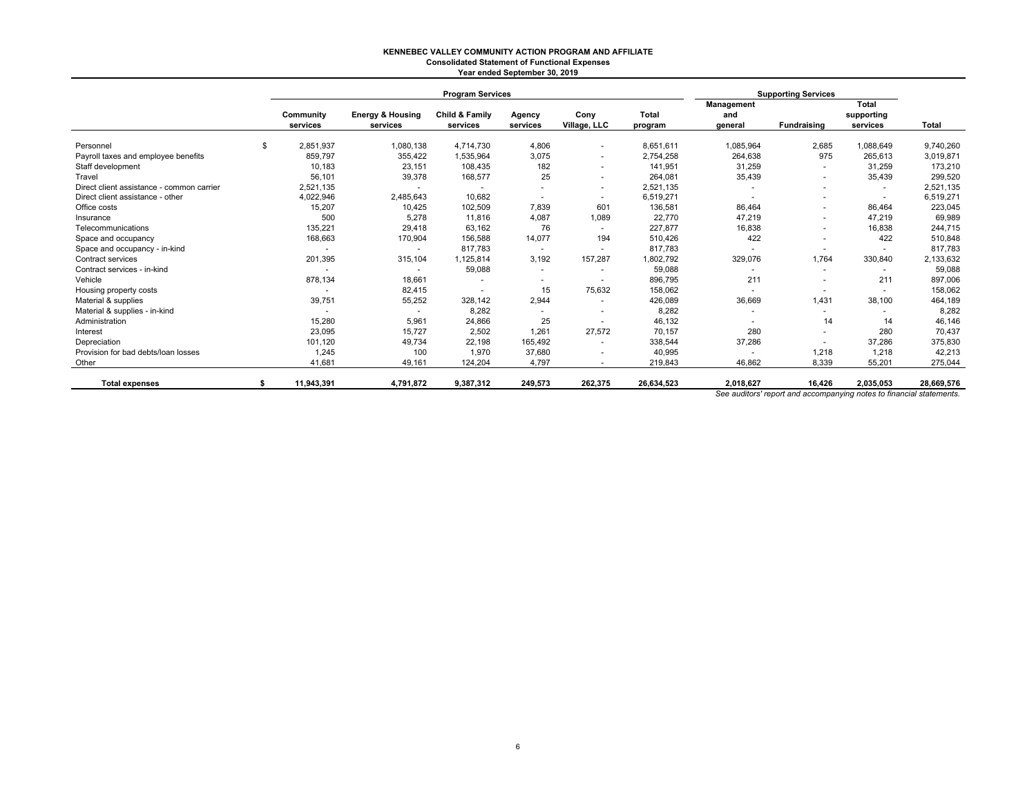#### **KENNEBEC VALLEY COMMUNITY ACTION PROGRAM AND AFFILIATE Consolidated Statement of Functional Expenses Year ended September 30, 2019**

|                                           | <b>Program Services</b> |                             |                           |          | <b>Supporting Services</b> |              |                   |                    |                            |            |
|-------------------------------------------|-------------------------|-----------------------------|---------------------------|----------|----------------------------|--------------|-------------------|--------------------|----------------------------|------------|
|                                           | Community               | <b>Energy &amp; Housing</b> | <b>Child &amp; Family</b> | Agency   | Cony                       | <b>Total</b> | Management<br>and |                    | <b>Total</b><br>supporting |            |
|                                           | services                | services                    | services                  | services | Village, LLC               | program      | general           | <b>Fundraising</b> | services                   | Total      |
| Personnel                                 | \$<br>2.851.937         | 1.080.138                   | 4.714.730                 | 4.806    | $\sim$                     | 8.651.611    | 1,085,964         | 2.685              | 1,088,649                  | 9,740,260  |
| Payroll taxes and employee benefits       | 859,797                 | 355,422                     | 1,535,964                 | 3,075    | $\sim$                     | 2,754,258    | 264,638           | 975                | 265,613                    | 3,019,871  |
| Staff development                         | 10.183                  | 23,151                      | 108,435                   | 182      |                            | 141,951      | 31,259            | $\overline{a}$     | 31,259                     | 173,210    |
| Travel                                    | 56,101                  | 39,378                      | 168,577                   | 25       |                            | 264,081      | 35,439            |                    | 35,439                     | 299,520    |
| Direct client assistance - common carrier | 2,521,135               |                             |                           |          | $\overline{a}$             | 2,521,135    |                   | $\overline{a}$     | $\overline{\phantom{a}}$   | 2,521,135  |
| Direct client assistance - other          | 4.022.946               | 2,485,643                   | 10.682                    |          | $\sim$                     | 6,519,271    | $\overline{a}$    | $\overline{a}$     | ٠                          | 6,519,271  |
| Office costs                              | 15,207                  | 10,425                      | 102,509                   | 7,839    | 601                        | 136,581      | 86,464            | $\overline{a}$     | 86,464                     | 223,045    |
| Insurance                                 | 500                     | 5,278                       | 11,816                    | 4,087    | 1,089                      | 22,770       | 47,219            | ٠                  | 47,219                     | 69,989     |
| Telecommunications                        | 135,221                 | 29,418                      | 63.162                    | 76       | $\sim$                     | 227,877      | 16,838            | $\overline{a}$     | 16,838                     | 244,715    |
| Space and occupancy                       | 168,663                 | 170,904                     | 156.588                   | 14.077   | 194                        | 510,426      | 422               | $\overline{a}$     | 422                        | 510,848    |
| Space and occupancy - in-kind             |                         | ٠                           | 817.783                   | $\sim$   |                            | 817.783      |                   | $\overline{a}$     | ٠                          | 817,783    |
| Contract services                         | 201,395                 | 315,104                     | 1,125,814                 | 3,192    | 157,287                    | 1,802,792    | 329,076           | 1,764              | 330,840                    | 2,133,632  |
| Contract services - in-kind               |                         |                             | 59,088                    | $\sim$   |                            | 59,088       | $\overline{a}$    | $\overline{a}$     | $\sim$                     | 59,088     |
| Vehicle                                   | 878,134                 | 18,661                      | $\overline{a}$            |          |                            | 896,795      | 211               |                    | 211                        | 897,006    |
| Housing property costs                    |                         | 82,415                      | $\overline{\phantom{a}}$  | 15       | 75,632                     | 158,062      | $\overline{a}$    | ٠                  |                            | 158,062    |
| Material & supplies                       | 39,751                  | 55,252                      | 328,142                   | 2,944    | $\sim$                     | 426,089      | 36,669            | 1.431              | 38,100                     | 464,189    |
| Material & supplies - in-kind             |                         | ٠                           | 8,282                     | $\sim$   | $\overline{\phantom{a}}$   | 8.282        | ٠                 | ٠                  |                            | 8,282      |
| Administration                            | 15,280                  | 5,961                       | 24,866                    | 25       |                            | 46,132       |                   | 14                 | 14                         | 46,146     |
| Interest                                  | 23,095                  | 15,727                      | 2,502                     | 1.261    | 27,572                     | 70,157       | 280               | $\overline{a}$     | 280                        | 70,437     |
| Depreciation                              | 101,120                 | 49,734                      | 22,198                    | 165.492  | $\overline{a}$             | 338,544      | 37,286            | $\blacksquare$     | 37,286                     | 375,830    |
| Provision for bad debts/loan losses       | 1,245                   | 100                         | 1.970                     | 37,680   | $\overline{a}$             | 40,995       | ٠                 | 1.218              | 1,218                      | 42,213     |
| Other                                     | 41,681                  | 49,161                      | 124,204                   | 4,797    | $\sim$                     | 219,843      | 46,862            | 8,339              | 55,201                     | 275,044    |
| <b>Total expenses</b>                     | 11,943,391              | 4,791,872                   | 9,387,312                 | 249,573  | 262,375                    | 26,634,523   | 2,018,627         | 16,426             | 2.035.053                  | 28.669.576 |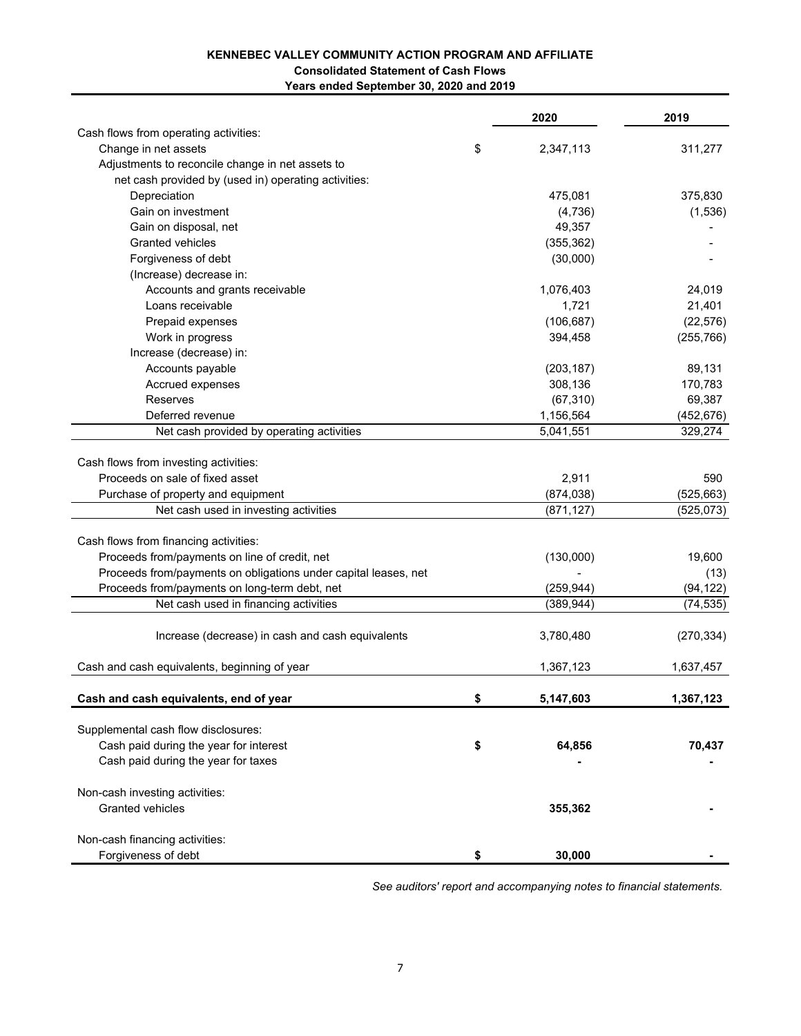#### **KENNEBEC VALLEY COMMUNITY ACTION PROGRAM AND AFFILIATE**

#### **Consolidated Statement of Cash Flows**

**Years ended September 30, 2020 and 2019**

|                                                                 | 2020            | 2019       |
|-----------------------------------------------------------------|-----------------|------------|
| Cash flows from operating activities:                           |                 |            |
| Change in net assets                                            | \$<br>2,347,113 | 311,277    |
| Adjustments to reconcile change in net assets to                |                 |            |
| net cash provided by (used in) operating activities:            |                 |            |
| Depreciation                                                    | 475,081         | 375,830    |
| Gain on investment                                              | (4,736)         | (1,536)    |
| Gain on disposal, net                                           | 49,357          |            |
| <b>Granted vehicles</b>                                         | (355, 362)      |            |
| Forgiveness of debt                                             | (30,000)        |            |
| (Increase) decrease in:                                         |                 |            |
| Accounts and grants receivable                                  | 1,076,403       | 24,019     |
| Loans receivable                                                | 1,721           | 21,401     |
| Prepaid expenses                                                | (106, 687)      | (22, 576)  |
| Work in progress                                                | 394,458         | (255, 766) |
| Increase (decrease) in:                                         |                 |            |
| Accounts payable                                                | (203, 187)      | 89,131     |
| Accrued expenses                                                | 308,136         | 170,783    |
| Reserves                                                        | (67, 310)       | 69,387     |
| Deferred revenue                                                | 1,156,564       | (452, 676) |
| Net cash provided by operating activities                       | 5,041,551       | 329,274    |
| Cash flows from investing activities:                           |                 |            |
| Proceeds on sale of fixed asset                                 | 2,911           | 590        |
| Purchase of property and equipment                              | (874, 038)      | (525, 663) |
| Net cash used in investing activities                           | (871, 127)      | (525, 073) |
|                                                                 |                 |            |
| Cash flows from financing activities:                           |                 |            |
| Proceeds from/payments on line of credit, net                   | (130,000)       | 19,600     |
| Proceeds from/payments on obligations under capital leases, net |                 | (13)       |
| Proceeds from/payments on long-term debt, net                   | (259, 944)      | (94, 122)  |
| Net cash used in financing activities                           | (389, 944)      | (74, 535)  |
| Increase (decrease) in cash and cash equivalents                | 3,780,480       | (270, 334) |
| Cash and cash equivalents, beginning of year                    | 1,367,123       | 1,637,457  |
| Cash and cash equivalents, end of year                          | \$<br>5,147,603 | 1,367,123  |
| Supplemental cash flow disclosures:                             |                 |            |
| Cash paid during the year for interest                          |                 | 70,437     |
| Cash paid during the year for taxes                             | \$<br>64,856    |            |
|                                                                 |                 |            |
| Non-cash investing activities:                                  |                 |            |
| Granted vehicles                                                | 355,362         |            |
| Non-cash financing activities:                                  |                 |            |
| Forgiveness of debt                                             | \$<br>30,000    |            |

*See auditors' report and accompanying notes to financial statements.*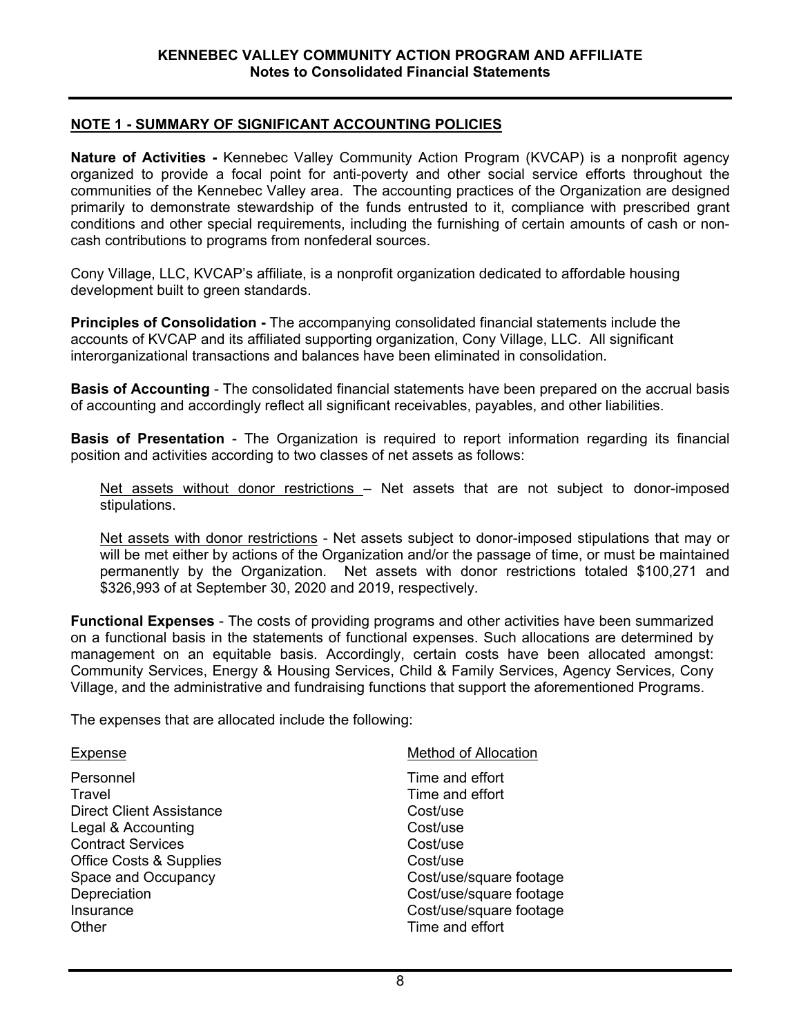# **NOTE 1 - SUMMARY OF SIGNIFICANT ACCOUNTING POLICIES**

**Nature of Activities -** Kennebec Valley Community Action Program (KVCAP) is a nonprofit agency organized to provide a focal point for anti-poverty and other social service efforts throughout the communities of the Kennebec Valley area. The accounting practices of the Organization are designed primarily to demonstrate stewardship of the funds entrusted to it, compliance with prescribed grant conditions and other special requirements, including the furnishing of certain amounts of cash or noncash contributions to programs from nonfederal sources.

Cony Village, LLC, KVCAP's affiliate, is a nonprofit organization dedicated to affordable housing development built to green standards.

**Principles of Consolidation -** The accompanying consolidated financial statements include the accounts of KVCAP and its affiliated supporting organization, Cony Village, LLC. All significant interorganizational transactions and balances have been eliminated in consolidation.

**Basis of Accounting** - The consolidated financial statements have been prepared on the accrual basis of accounting and accordingly reflect all significant receivables, payables, and other liabilities.

**Basis of Presentation** - The Organization is required to report information regarding its financial position and activities according to two classes of net assets as follows:

Net assets without donor restrictions - Net assets that are not subject to donor-imposed stipulations.

 Net assets with donor restrictions - Net assets subject to donor-imposed stipulations that may or will be met either by actions of the Organization and/or the passage of time, or must be maintained permanently by the Organization. Net assets with donor restrictions totaled \$100,271 and \$326,993 of at September 30, 2020 and 2019, respectively.

**Functional Expenses** - The costs of providing programs and other activities have been summarized on a functional basis in the statements of functional expenses. Such allocations are determined by management on an equitable basis. Accordingly, certain costs have been allocated amongst: Community Services, Energy & Housing Services, Child & Family Services, Agency Services, Cony Village, and the administrative and fundraising functions that support the aforementioned Programs.

The expenses that are allocated include the following:

| Expense                            | <b>Method of Allocation</b> |
|------------------------------------|-----------------------------|
| Personnel                          | Time and effort             |
| Travel                             | Time and effort             |
| <b>Direct Client Assistance</b>    | Cost/use                    |
| Legal & Accounting                 | Cost/use                    |
| <b>Contract Services</b>           | Cost/use                    |
| <b>Office Costs &amp; Supplies</b> | Cost/use                    |
| Space and Occupancy                | Cost/use/square footage     |
| Depreciation                       | Cost/use/square footage     |
| Insurance                          | Cost/use/square footage     |
| Other                              | Time and effort             |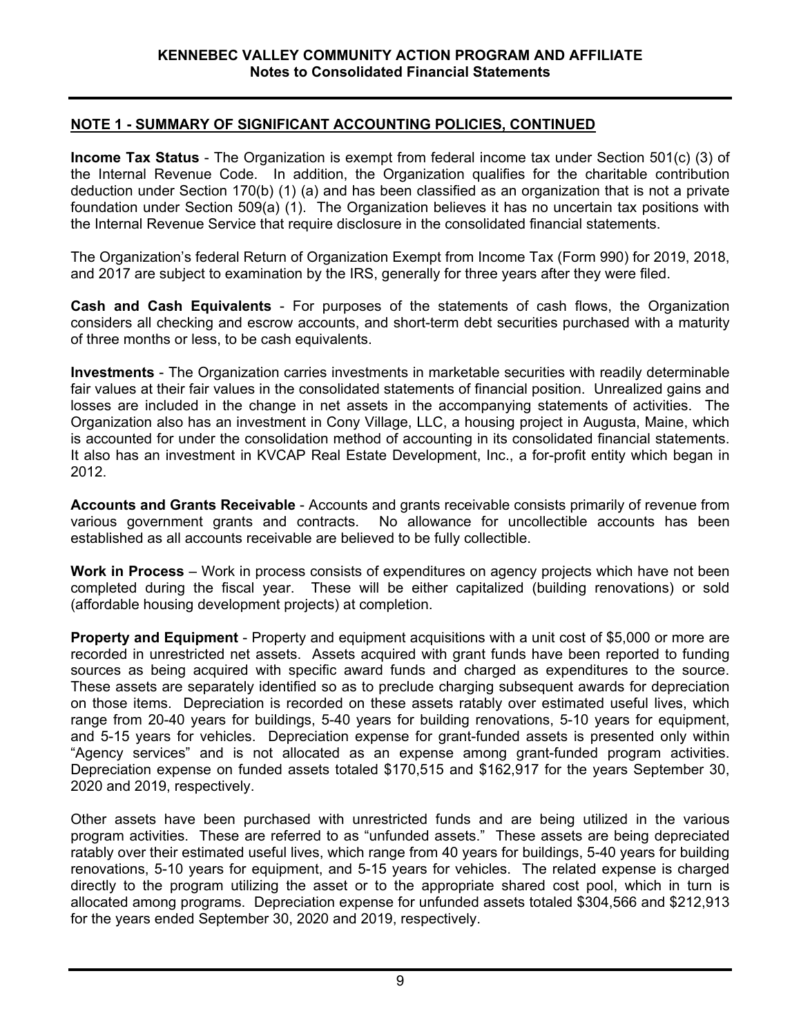# **NOTE 1 - SUMMARY OF SIGNIFICANT ACCOUNTING POLICIES, CONTINUED**

**Income Tax Status** - The Organization is exempt from federal income tax under Section 501(c) (3) of the Internal Revenue Code. In addition, the Organization qualifies for the charitable contribution deduction under Section 170(b) (1) (a) and has been classified as an organization that is not a private foundation under Section 509(a) (1). The Organization believes it has no uncertain tax positions with the Internal Revenue Service that require disclosure in the consolidated financial statements.

The Organization's federal Return of Organization Exempt from Income Tax (Form 990) for 2019, 2018, and 2017 are subject to examination by the IRS, generally for three years after they were filed.

**Cash and Cash Equivalents** - For purposes of the statements of cash flows, the Organization considers all checking and escrow accounts, and short-term debt securities purchased with a maturity of three months or less, to be cash equivalents.

**Investments** - The Organization carries investments in marketable securities with readily determinable fair values at their fair values in the consolidated statements of financial position. Unrealized gains and losses are included in the change in net assets in the accompanying statements of activities. The Organization also has an investment in Cony Village, LLC, a housing project in Augusta, Maine, which is accounted for under the consolidation method of accounting in its consolidated financial statements. It also has an investment in KVCAP Real Estate Development, Inc., a for-profit entity which began in 2012.

**Accounts and Grants Receivable** - Accounts and grants receivable consists primarily of revenue from various government grants and contracts. No allowance for uncollectible accounts has been established as all accounts receivable are believed to be fully collectible.

**Work in Process** – Work in process consists of expenditures on agency projects which have not been completed during the fiscal year. These will be either capitalized (building renovations) or sold (affordable housing development projects) at completion.

**Property and Equipment** - Property and equipment acquisitions with a unit cost of \$5,000 or more are recorded in unrestricted net assets. Assets acquired with grant funds have been reported to funding sources as being acquired with specific award funds and charged as expenditures to the source. These assets are separately identified so as to preclude charging subsequent awards for depreciation on those items. Depreciation is recorded on these assets ratably over estimated useful lives, which range from 20-40 years for buildings, 5-40 years for building renovations, 5-10 years for equipment, and 5-15 years for vehicles. Depreciation expense for grant-funded assets is presented only within "Agency services" and is not allocated as an expense among grant-funded program activities. Depreciation expense on funded assets totaled \$170,515 and \$162,917 for the years September 30, 2020 and 2019, respectively.

Other assets have been purchased with unrestricted funds and are being utilized in the various program activities. These are referred to as "unfunded assets." These assets are being depreciated ratably over their estimated useful lives, which range from 40 years for buildings, 5-40 years for building renovations, 5-10 years for equipment, and 5-15 years for vehicles. The related expense is charged directly to the program utilizing the asset or to the appropriate shared cost pool, which in turn is allocated among programs. Depreciation expense for unfunded assets totaled \$304,566 and \$212,913 for the years ended September 30, 2020 and 2019, respectively.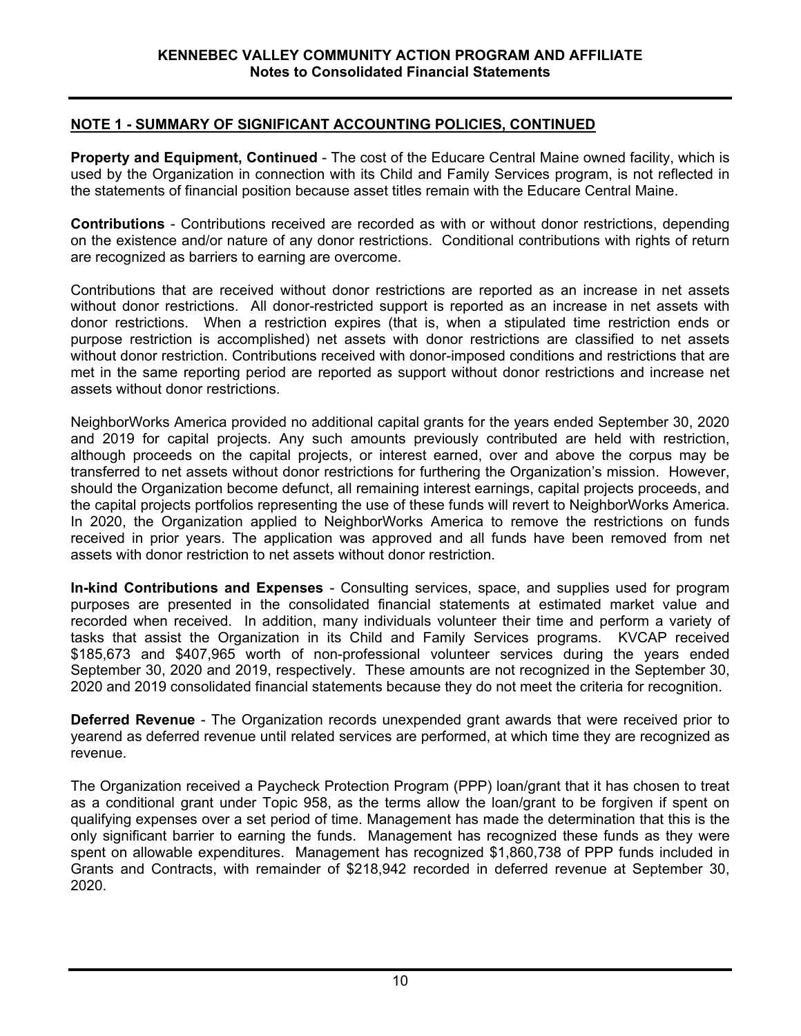# **NOTE 1 - SUMMARY OF SIGNIFICANT ACCOUNTING POLICIES, CONTINUED**

**Property and Equipment, Continued** - The cost of the Educare Central Maine owned facility, which is used by the Organization in connection with its Child and Family Services program, is not reflected in the statements of financial position because asset titles remain with the Educare Central Maine.

**Contributions** - Contributions received are recorded as with or without donor restrictions, depending on the existence and/or nature of any donor restrictions. Conditional contributions with rights of return are recognized as barriers to earning are overcome.

Contributions that are received without donor restrictions are reported as an increase in net assets without donor restrictions. All donor-restricted support is reported as an increase in net assets with donor restrictions. When a restriction expires (that is, when a stipulated time restriction ends or purpose restriction is accomplished) net assets with donor restrictions are classified to net assets without donor restriction. Contributions received with donor-imposed conditions and restrictions that are met in the same reporting period are reported as support without donor restrictions and increase net assets without donor restrictions.

NeighborWorks America provided no additional capital grants for the years ended September 30, 2020 and 2019 for capital projects. Any such amounts previously contributed are held with restriction, although proceeds on the capital projects, or interest earned, over and above the corpus may be transferred to net assets without donor restrictions for furthering the Organization's mission. However, should the Organization become defunct, all remaining interest earnings, capital projects proceeds, and the capital projects portfolios representing the use of these funds will revert to NeighborWorks America. In 2020, the Organization applied to NeighborWorks America to remove the restrictions on funds received in prior years. The application was approved and all funds have been removed from net assets with donor restriction to net assets without donor restriction.

**In-kind Contributions and Expenses** - Consulting services, space, and supplies used for program purposes are presented in the consolidated financial statements at estimated market value and recorded when received. In addition, many individuals volunteer their time and perform a variety of tasks that assist the Organization in its Child and Family Services programs. KVCAP received \$185,673 and \$407,965 worth of non-professional volunteer services during the years ended September 30, 2020 and 2019, respectively. These amounts are not recognized in the September 30, 2020 and 2019 consolidated financial statements because they do not meet the criteria for recognition.

**Deferred Revenue** - The Organization records unexpended grant awards that were received prior to yearend as deferred revenue until related services are performed, at which time they are recognized as revenue.

The Organization received a Paycheck Protection Program (PPP) loan/grant that it has chosen to treat as a conditional grant under Topic 958, as the terms allow the loan/grant to be forgiven if spent on qualifying expenses over a set period of time. Management has made the determination that this is the only significant barrier to earning the funds. Management has recognized these funds as they were spent on allowable expenditures. Management has recognized \$1,860,738 of PPP funds included in Grants and Contracts, with remainder of \$218,942 recorded in deferred revenue at September 30, 2020.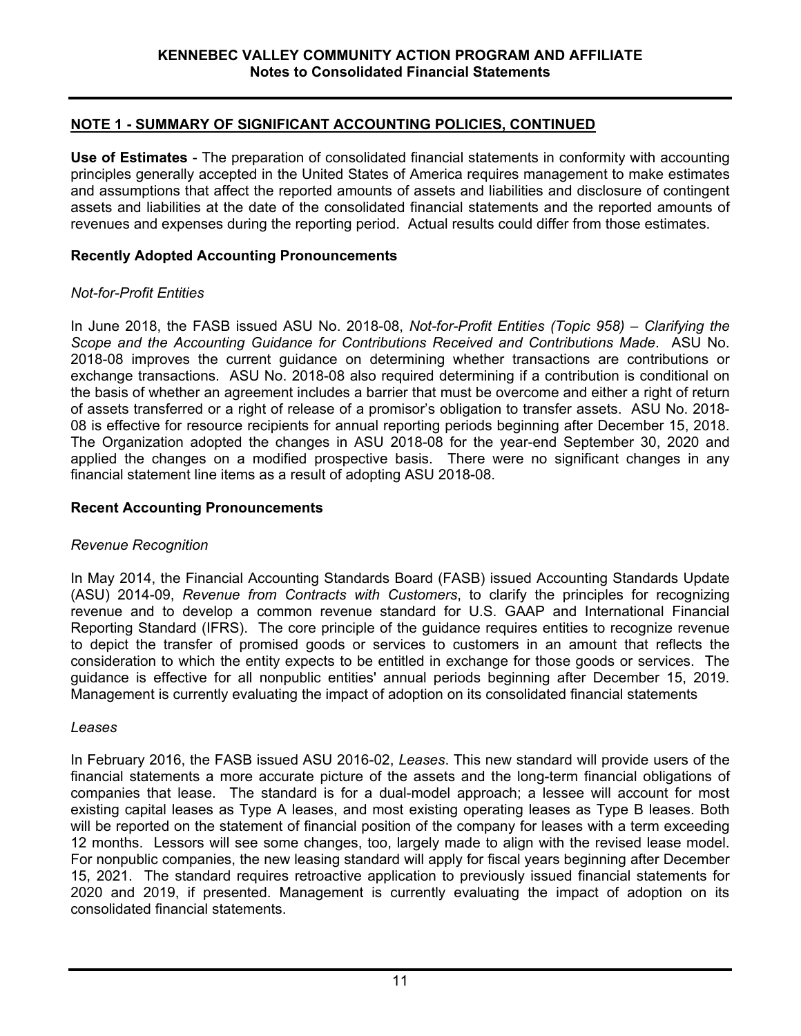# **NOTE 1 - SUMMARY OF SIGNIFICANT ACCOUNTING POLICIES, CONTINUED**

**Use of Estimates** - The preparation of consolidated financial statements in conformity with accounting principles generally accepted in the United States of America requires management to make estimates and assumptions that affect the reported amounts of assets and liabilities and disclosure of contingent assets and liabilities at the date of the consolidated financial statements and the reported amounts of revenues and expenses during the reporting period. Actual results could differ from those estimates.

# **Recently Adopted Accounting Pronouncements**

# *Not-for-Profit Entities*

In June 2018, the FASB issued ASU No. 2018-08, *Not-for-Profit Entities (Topic 958) – Clarifying the Scope and the Accounting Guidance for Contributions Received and Contributions Made*. ASU No. 2018-08 improves the current guidance on determining whether transactions are contributions or exchange transactions. ASU No. 2018-08 also required determining if a contribution is conditional on the basis of whether an agreement includes a barrier that must be overcome and either a right of return of assets transferred or a right of release of a promisor's obligation to transfer assets. ASU No. 2018- 08 is effective for resource recipients for annual reporting periods beginning after December 15, 2018. The Organization adopted the changes in ASU 2018-08 for the year-end September 30, 2020 and applied the changes on a modified prospective basis. There were no significant changes in any financial statement line items as a result of adopting ASU 2018-08.

# **Recent Accounting Pronouncements**

# *Revenue Recognition*

In May 2014, the Financial Accounting Standards Board (FASB) issued Accounting Standards Update (ASU) 2014-09, *Revenue from Contracts with Customers*, to clarify the principles for recognizing revenue and to develop a common revenue standard for U.S. GAAP and International Financial Reporting Standard (IFRS). The core principle of the guidance requires entities to recognize revenue to depict the transfer of promised goods or services to customers in an amount that reflects the consideration to which the entity expects to be entitled in exchange for those goods or services. The guidance is effective for all nonpublic entities' annual periods beginning after December 15, 2019. Management is currently evaluating the impact of adoption on its consolidated financial statements

# *Leases*

In February 2016, the FASB issued ASU 2016-02, *Leases*. This new standard will provide users of the financial statements a more accurate picture of the assets and the long-term financial obligations of companies that lease. The standard is for a dual-model approach; a lessee will account for most existing capital leases as Type A leases, and most existing operating leases as Type B leases. Both will be reported on the statement of financial position of the company for leases with a term exceeding 12 months. Lessors will see some changes, too, largely made to align with the revised lease model. For nonpublic companies, the new leasing standard will apply for fiscal years beginning after December 15, 2021. The standard requires retroactive application to previously issued financial statements for 2020 and 2019, if presented. Management is currently evaluating the impact of adoption on its consolidated financial statements.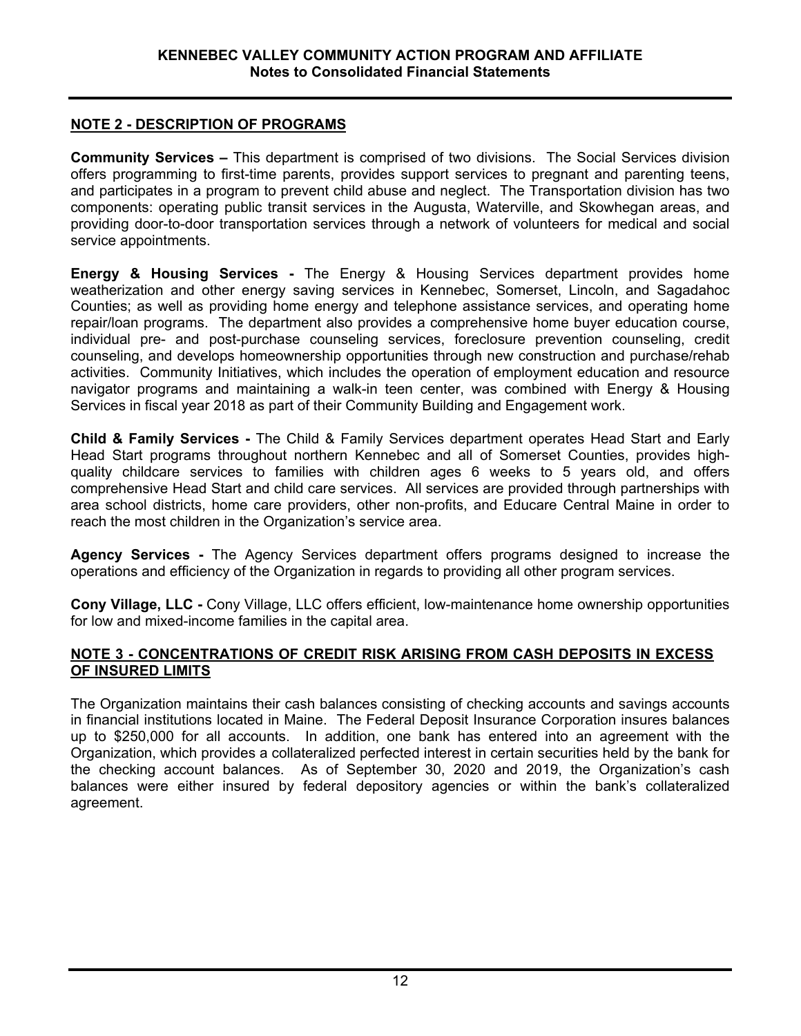# **NOTE 2 - DESCRIPTION OF PROGRAMS**

**Community Services –** This department is comprised of two divisions. The Social Services division offers programming to first-time parents, provides support services to pregnant and parenting teens, and participates in a program to prevent child abuse and neglect. The Transportation division has two components: operating public transit services in the Augusta, Waterville, and Skowhegan areas, and providing door-to-door transportation services through a network of volunteers for medical and social service appointments.

**Energy & Housing Services -** The Energy & Housing Services department provides home weatherization and other energy saving services in Kennebec, Somerset, Lincoln, and Sagadahoc Counties; as well as providing home energy and telephone assistance services, and operating home repair/loan programs. The department also provides a comprehensive home buyer education course, individual pre- and post-purchase counseling services, foreclosure prevention counseling, credit counseling, and develops homeownership opportunities through new construction and purchase/rehab activities. Community Initiatives, which includes the operation of employment education and resource navigator programs and maintaining a walk-in teen center, was combined with Energy & Housing Services in fiscal year 2018 as part of their Community Building and Engagement work.

**Child & Family Services -** The Child & Family Services department operates Head Start and Early Head Start programs throughout northern Kennebec and all of Somerset Counties, provides highquality childcare services to families with children ages 6 weeks to 5 years old, and offers comprehensive Head Start and child care services. All services are provided through partnerships with area school districts, home care providers, other non-profits, and Educare Central Maine in order to reach the most children in the Organization's service area.

**Agency Services -** The Agency Services department offers programs designed to increase the operations and efficiency of the Organization in regards to providing all other program services.

**Cony Village, LLC -** Cony Village, LLC offers efficient, low-maintenance home ownership opportunities for low and mixed-income families in the capital area.

### **NOTE 3 - CONCENTRATIONS OF CREDIT RISK ARISING FROM CASH DEPOSITS IN EXCESS OF INSURED LIMITS**

The Organization maintains their cash balances consisting of checking accounts and savings accounts in financial institutions located in Maine. The Federal Deposit Insurance Corporation insures balances up to \$250,000 for all accounts. In addition, one bank has entered into an agreement with the Organization, which provides a collateralized perfected interest in certain securities held by the bank for the checking account balances. As of September 30, 2020 and 2019, the Organization's cash balances were either insured by federal depository agencies or within the bank's collateralized agreement.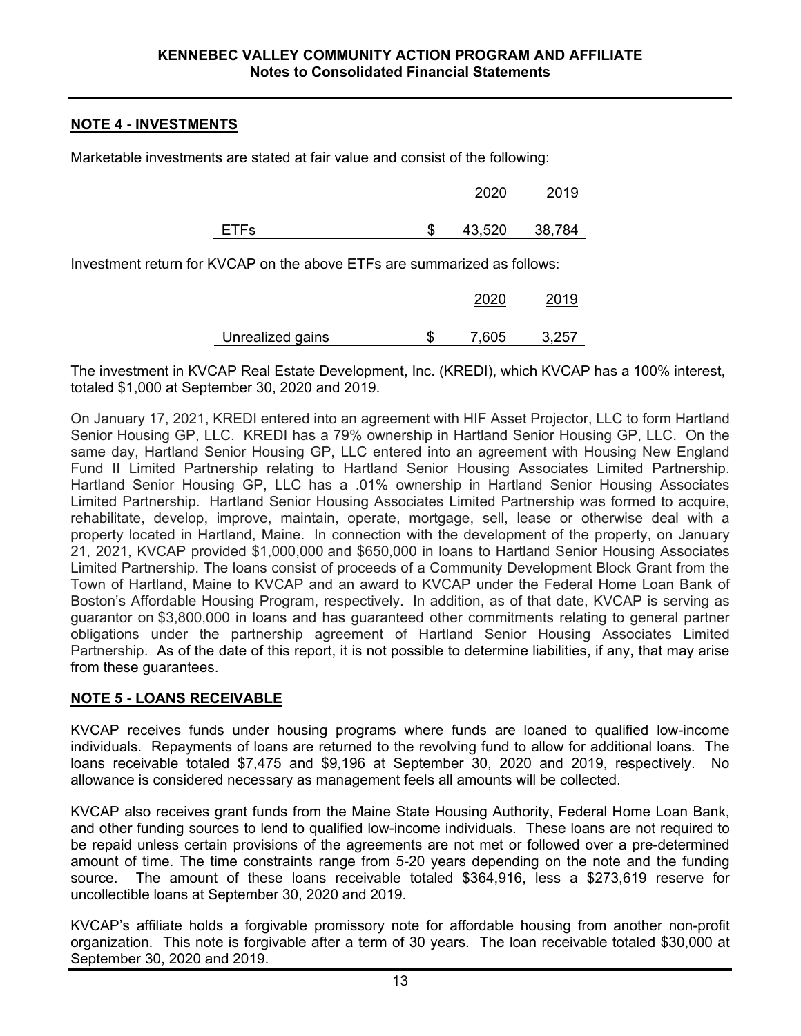## **NOTE 4 - INVESTMENTS**

Marketable investments are stated at fair value and consist of the following:

|             | 2020         | 2019   |
|-------------|--------------|--------|
| <b>ETFs</b> | \$<br>43,520 | 38,784 |

Investment return for KVCAP on the above ETFs are summarized as follows:

|                  | 2020  | 2019  |
|------------------|-------|-------|
| Unrealized gains | 7,605 | 3,257 |

The investment in KVCAP Real Estate Development, Inc. (KREDI), which KVCAP has a 100% interest, totaled \$1,000 at September 30, 2020 and 2019.

On January 17, 2021, KREDI entered into an agreement with HIF Asset Projector, LLC to form Hartland Senior Housing GP, LLC. KREDI has a 79% ownership in Hartland Senior Housing GP, LLC. On the same day, Hartland Senior Housing GP, LLC entered into an agreement with Housing New England Fund II Limited Partnership relating to Hartland Senior Housing Associates Limited Partnership. Hartland Senior Housing GP, LLC has a .01% ownership in Hartland Senior Housing Associates Limited Partnership. Hartland Senior Housing Associates Limited Partnership was formed to acquire, rehabilitate, develop, improve, maintain, operate, mortgage, sell, lease or otherwise deal with a property located in Hartland, Maine. In connection with the development of the property, on January 21, 2021, KVCAP provided \$1,000,000 and \$650,000 in loans to Hartland Senior Housing Associates Limited Partnership. The loans consist of proceeds of a Community Development Block Grant from the Town of Hartland, Maine to KVCAP and an award to KVCAP under the Federal Home Loan Bank of Boston's Affordable Housing Program, respectively. In addition, as of that date, KVCAP is serving as guarantor on \$3,800,000 in loans and has guaranteed other commitments relating to general partner obligations under the partnership agreement of Hartland Senior Housing Associates Limited Partnership. As of the date of this report, it is not possible to determine liabilities, if any, that may arise from these guarantees.

#### **NOTE 5 - LOANS RECEIVABLE**

KVCAP receives funds under housing programs where funds are loaned to qualified low-income individuals. Repayments of loans are returned to the revolving fund to allow for additional loans. The loans receivable totaled \$7,475 and \$9,196 at September 30, 2020 and 2019, respectively. No allowance is considered necessary as management feels all amounts will be collected.

KVCAP also receives grant funds from the Maine State Housing Authority, Federal Home Loan Bank, and other funding sources to lend to qualified low-income individuals. These loans are not required to be repaid unless certain provisions of the agreements are not met or followed over a pre-determined amount of time. The time constraints range from 5-20 years depending on the note and the funding source. The amount of these loans receivable totaled \$364,916, less a \$273,619 reserve for uncollectible loans at September 30, 2020 and 2019.

KVCAP's affiliate holds a forgivable promissory note for affordable housing from another non-profit organization. This note is forgivable after a term of 30 years. The loan receivable totaled \$30,000 at September 30, 2020 and 2019.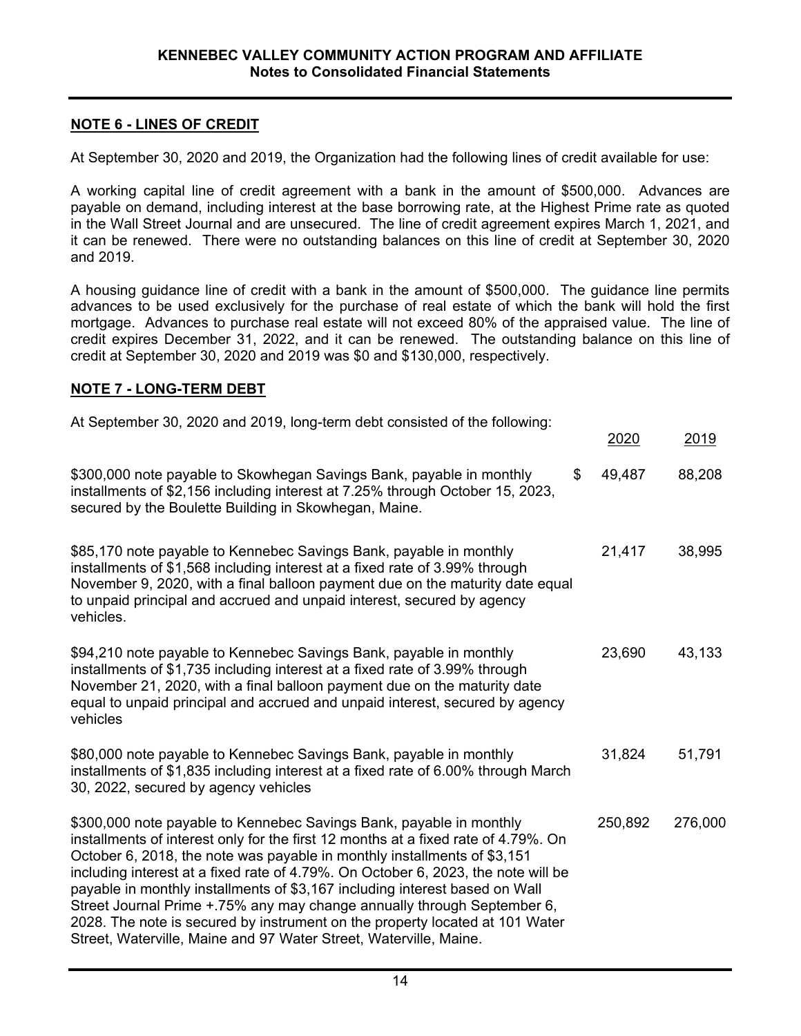## **NOTE 6 - LINES OF CREDIT**

At September 30, 2020 and 2019, the Organization had the following lines of credit available for use:

A working capital line of credit agreement with a bank in the amount of \$500,000. Advances are payable on demand, including interest at the base borrowing rate, at the Highest Prime rate as quoted in the Wall Street Journal and are unsecured. The line of credit agreement expires March 1, 2021, and it can be renewed. There were no outstanding balances on this line of credit at September 30, 2020 and 2019.

A housing guidance line of credit with a bank in the amount of \$500,000. The guidance line permits advances to be used exclusively for the purchase of real estate of which the bank will hold the first mortgage. Advances to purchase real estate will not exceed 80% of the appraised value. The line of credit expires December 31, 2022, and it can be renewed. The outstanding balance on this line of credit at September 30, 2020 and 2019 was \$0 and \$130,000, respectively.

#### **NOTE 7 - LONG-TERM DEBT**

| At September 30, 2020 and 2019, long-term debt consisted of the following:                                                                                                                                                                                                                                                                                                                                                                                                                                                                                                                                                                | 2020         | <u>2019</u> |
|-------------------------------------------------------------------------------------------------------------------------------------------------------------------------------------------------------------------------------------------------------------------------------------------------------------------------------------------------------------------------------------------------------------------------------------------------------------------------------------------------------------------------------------------------------------------------------------------------------------------------------------------|--------------|-------------|
| \$300,000 note payable to Skowhegan Savings Bank, payable in monthly<br>installments of \$2,156 including interest at 7.25% through October 15, 2023,<br>secured by the Boulette Building in Skowhegan, Maine.                                                                                                                                                                                                                                                                                                                                                                                                                            | \$<br>49,487 | 88,208      |
| \$85,170 note payable to Kennebec Savings Bank, payable in monthly<br>installments of \$1,568 including interest at a fixed rate of 3.99% through<br>November 9, 2020, with a final balloon payment due on the maturity date equal<br>to unpaid principal and accrued and unpaid interest, secured by agency<br>vehicles.                                                                                                                                                                                                                                                                                                                 | 21,417       | 38,995      |
| \$94,210 note payable to Kennebec Savings Bank, payable in monthly<br>installments of \$1,735 including interest at a fixed rate of 3.99% through<br>November 21, 2020, with a final balloon payment due on the maturity date<br>equal to unpaid principal and accrued and unpaid interest, secured by agency<br>vehicles                                                                                                                                                                                                                                                                                                                 | 23,690       | 43,133      |
| \$80,000 note payable to Kennebec Savings Bank, payable in monthly<br>installments of \$1,835 including interest at a fixed rate of 6.00% through March<br>30, 2022, secured by agency vehicles                                                                                                                                                                                                                                                                                                                                                                                                                                           | 31,824       | 51,791      |
| \$300,000 note payable to Kennebec Savings Bank, payable in monthly<br>installments of interest only for the first 12 months at a fixed rate of 4.79%. On<br>October 6, 2018, the note was payable in monthly installments of \$3,151<br>including interest at a fixed rate of 4.79%. On October 6, 2023, the note will be<br>payable in monthly installments of \$3,167 including interest based on Wall<br>Street Journal Prime +.75% any may change annually through September 6,<br>2028. The note is secured by instrument on the property located at 101 Water<br>Street, Waterville, Maine and 97 Water Street, Waterville, Maine. | 250,892      | 276,000     |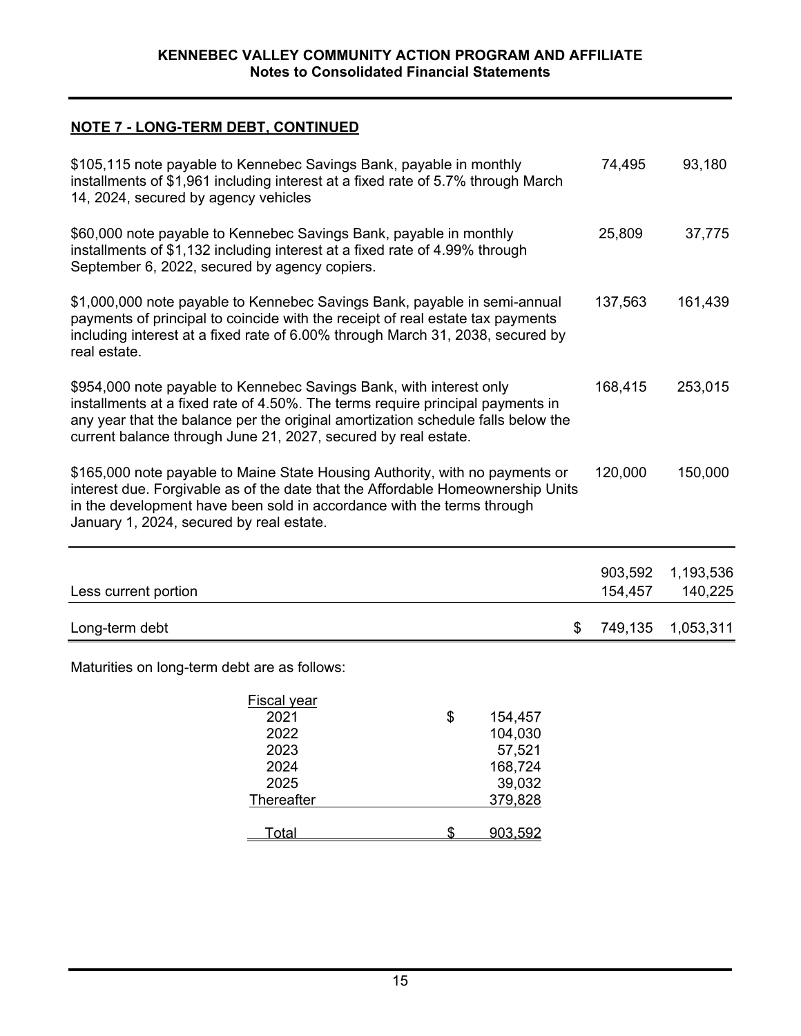# **NOTE 7 - LONG-TERM DEBT, CONTINUED**

| \$105,115 note payable to Kennebec Savings Bank, payable in monthly<br>installments of \$1,961 including interest at a fixed rate of 5.7% through March<br>14, 2024, secured by agency vehicles                                                                                                             | 74,495             | 93,180               |
|-------------------------------------------------------------------------------------------------------------------------------------------------------------------------------------------------------------------------------------------------------------------------------------------------------------|--------------------|----------------------|
| \$60,000 note payable to Kennebec Savings Bank, payable in monthly<br>installments of \$1,132 including interest at a fixed rate of 4.99% through<br>September 6, 2022, secured by agency copiers.                                                                                                          | 25,809             | 37,775               |
| \$1,000,000 note payable to Kennebec Savings Bank, payable in semi-annual<br>payments of principal to coincide with the receipt of real estate tax payments<br>including interest at a fixed rate of 6.00% through March 31, 2038, secured by<br>real estate.                                               | 137,563            | 161,439              |
| \$954,000 note payable to Kennebec Savings Bank, with interest only<br>installments at a fixed rate of 4.50%. The terms require principal payments in<br>any year that the balance per the original amortization schedule falls below the<br>current balance through June 21, 2027, secured by real estate. | 168,415            | 253,015              |
| \$165,000 note payable to Maine State Housing Authority, with no payments or<br>interest due. Forgivable as of the date that the Affordable Homeownership Units<br>in the development have been sold in accordance with the terms through<br>January 1, 2024, secured by real estate.                       | 120,000            | 150,000              |
| Less current portion                                                                                                                                                                                                                                                                                        | 903,592<br>154,457 | 1,193,536<br>140,225 |
| Long-term debt<br>\$                                                                                                                                                                                                                                                                                        | 749,135            | 1,053,311            |

Maturities on long-term debt are as follows:

| <b>Fiscal year</b> |               |
|--------------------|---------------|
| 2021               | \$<br>154,457 |
| 2022               | 104,030       |
| 2023               | 57,521        |
| 2024               | 168,724       |
| 2025               | 39,032        |
| Thereafter         | 379,828       |
|                    |               |
| Total              | 903,592       |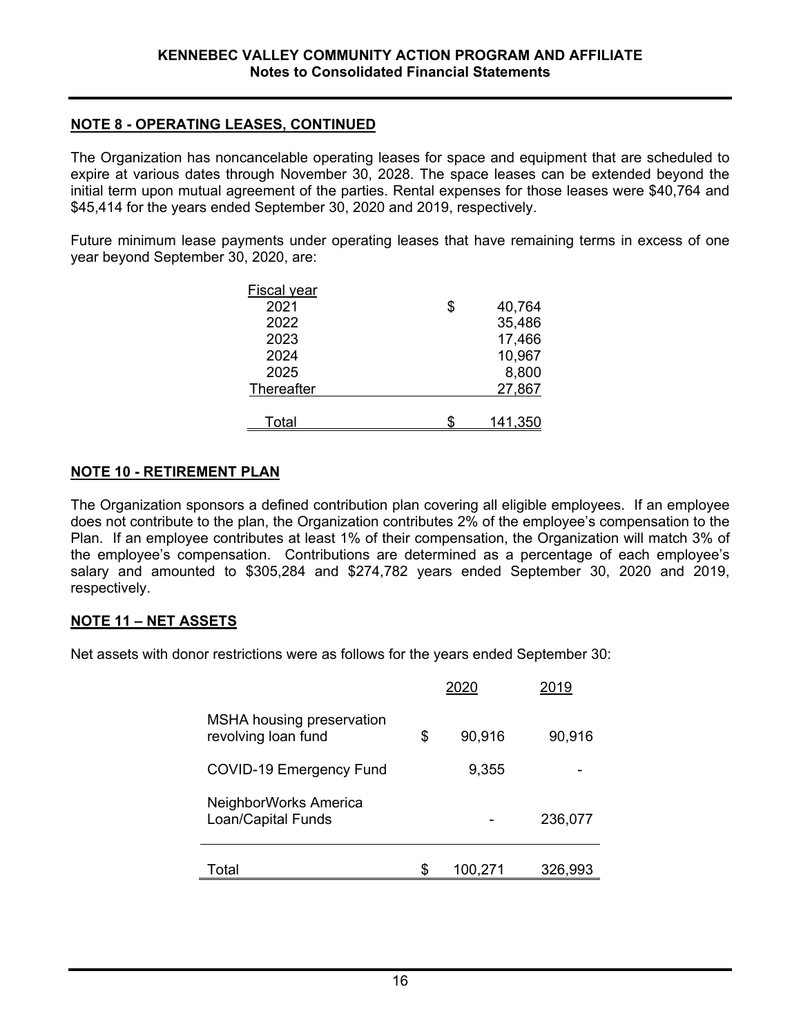### **NOTE 8 - OPERATING LEASES, CONTINUED**

The Organization has noncancelable operating leases for space and equipment that are scheduled to expire at various dates through November 30, 2028. The space leases can be extended beyond the initial term upon mutual agreement of the parties. Rental expenses for those leases were \$40,764 and \$45,414 for the years ended September 30, 2020 and 2019, respectively.

Future minimum lease payments under operating leases that have remaining terms in excess of one year beyond September 30, 2020, are:

| Fiscal year |    |                |
|-------------|----|----------------|
| 2021        | \$ | 40,764         |
| 2022        |    | 35,486         |
| 2023        |    | 17,466         |
| 2024        |    | 10,967         |
| 2025        |    | 8,800          |
| Thereafter  |    | 27,867         |
|             |    |                |
| Total       | S  | <u>141,350</u> |

### **NOTE 10 - RETIREMENT PLAN**

The Organization sponsors a defined contribution plan covering all eligible employees. If an employee does not contribute to the plan, the Organization contributes 2% of the employee's compensation to the Plan. If an employee contributes at least 1% of their compensation, the Organization will match 3% of the employee's compensation. Contributions are determined as a percentage of each employee's salary and amounted to \$305,284 and \$274,782 years ended September 30, 2020 and 2019, respectively.

# **NOTE 11 – NET ASSETS**

Net assets with donor restrictions were as follows for the years ended September 30:

|                                                  |    |         | 2019    |
|--------------------------------------------------|----|---------|---------|
| MSHA housing preservation<br>revolving loan fund | \$ | 90,916  | 90,916  |
| <b>COVID-19 Emergency Fund</b>                   |    | 9,355   |         |
| NeighborWorks America<br>Loan/Capital Funds      |    |         | 236,077 |
| Total                                            | \$ | 100,271 | 326,993 |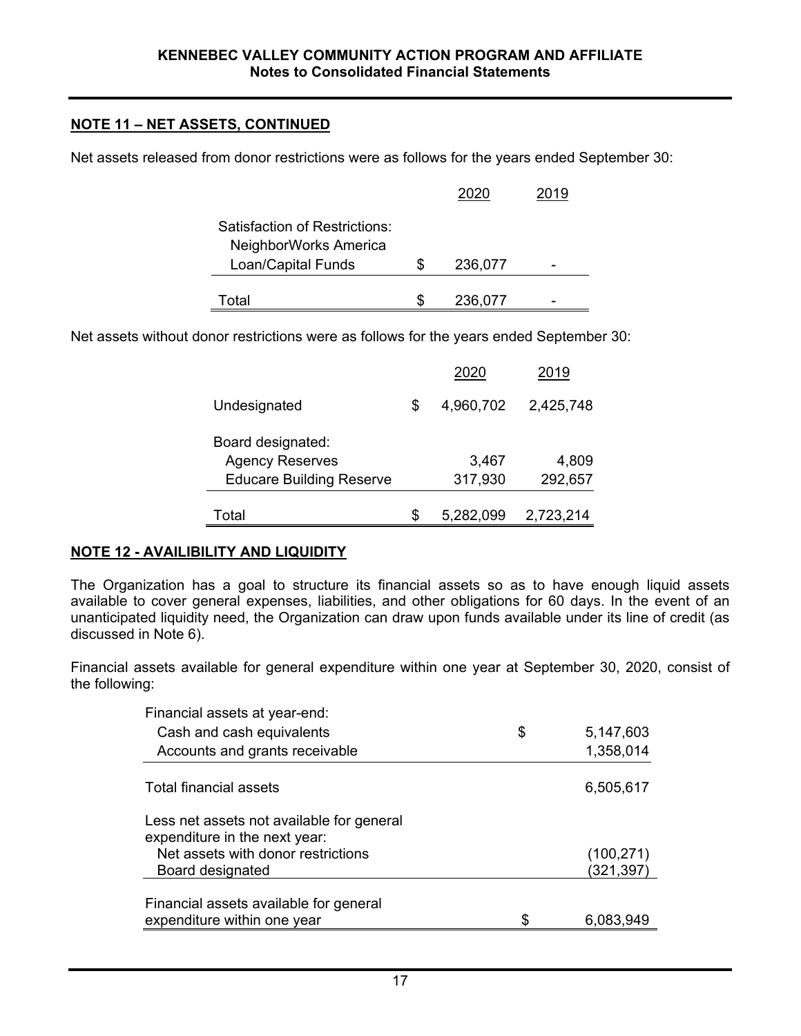# **NOTE 11 – NET ASSETS, CONTINUED**

Net assets released from donor restrictions were as follows for the years ended September 30:

|                                                        |   |         | 2019 |
|--------------------------------------------------------|---|---------|------|
| Satisfaction of Restrictions:<br>NeighborWorks America |   |         |      |
| Loan/Capital Funds                                     | S | 236,077 |      |
| ∶∩tal                                                  |   | 236,077 |      |

Net assets without donor restrictions were as follows for the years ended September 30:

|                                 |    | 2020      | 2019      |
|---------------------------------|----|-----------|-----------|
| Undesignated                    | S  | 4,960,702 | 2,425,748 |
| Board designated:               |    |           |           |
| <b>Agency Reserves</b>          |    | 3,467     | 4,809     |
| <b>Educare Building Reserve</b> |    | 317,930   | 292,657   |
|                                 |    |           |           |
| Total                           | \$ | 5,282,099 | 2,723,214 |

# **NOTE 12 - AVAILIBILITY AND LIQUIDITY**

The Organization has a goal to structure its financial assets so as to have enough liquid assets available to cover general expenses, liabilities, and other obligations for 60 days. In the event of an unanticipated liquidity need, the Organization can draw upon funds available under its line of credit (as discussed in Note 6).

Financial assets available for general expenditure within one year at September 30, 2020, consist of the following:

| Financial assets at year-end:                                              |    |                         |
|----------------------------------------------------------------------------|----|-------------------------|
| Cash and cash equivalents                                                  | \$ | 5,147,603               |
| Accounts and grants receivable                                             |    | 1,358,014               |
| Total financial assets                                                     |    | 6,505,617               |
| Less net assets not available for general<br>expenditure in the next year: |    |                         |
| Net assets with donor restrictions<br>Board designated                     |    | (100,271)<br>(321, 397) |
|                                                                            |    |                         |
| Financial assets available for general<br>expenditure within one year      | ደ  | 6,083,949               |
|                                                                            |    |                         |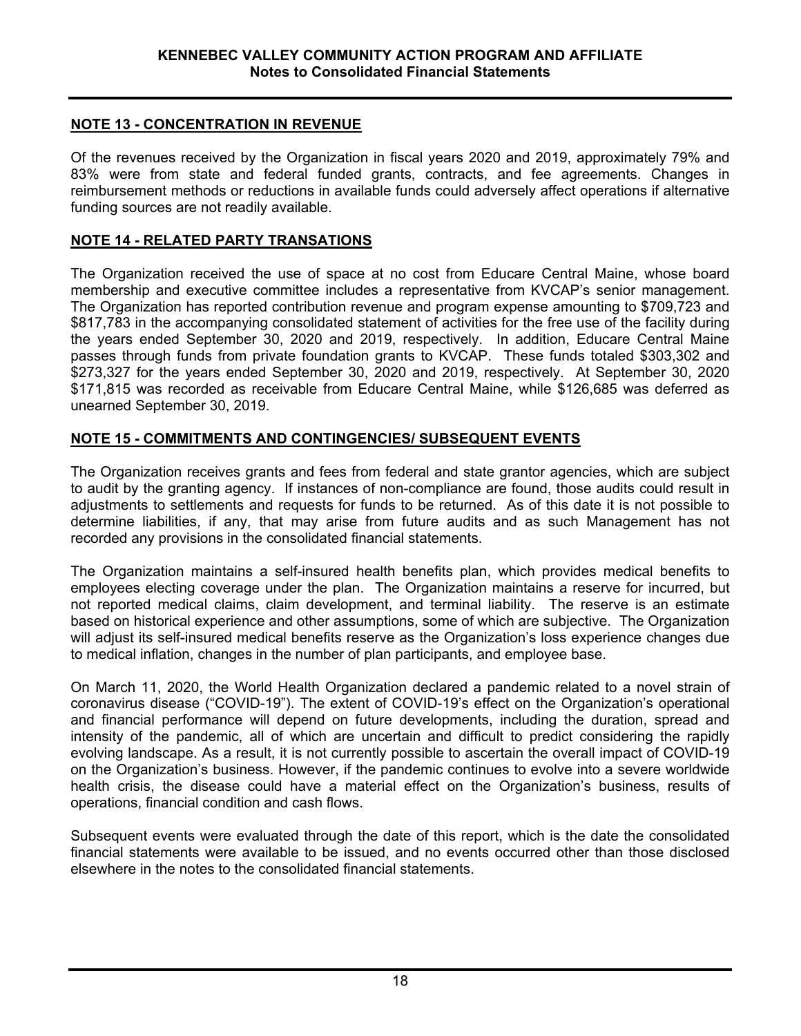# **NOTE 13 - CONCENTRATION IN REVENUE**

Of the revenues received by the Organization in fiscal years 2020 and 2019, approximately 79% and 83% were from state and federal funded grants, contracts, and fee agreements. Changes in reimbursement methods or reductions in available funds could adversely affect operations if alternative funding sources are not readily available.

# **NOTE 14 - RELATED PARTY TRANSATIONS**

The Organization received the use of space at no cost from Educare Central Maine, whose board membership and executive committee includes a representative from KVCAP's senior management. The Organization has reported contribution revenue and program expense amounting to \$709,723 and \$817,783 in the accompanying consolidated statement of activities for the free use of the facility during the years ended September 30, 2020 and 2019, respectively. In addition, Educare Central Maine passes through funds from private foundation grants to KVCAP. These funds totaled \$303,302 and \$273,327 for the years ended September 30, 2020 and 2019, respectively. At September 30, 2020 \$171,815 was recorded as receivable from Educare Central Maine, while \$126,685 was deferred as unearned September 30, 2019.

# **NOTE 15 - COMMITMENTS AND CONTINGENCIES/ SUBSEQUENT EVENTS**

The Organization receives grants and fees from federal and state grantor agencies, which are subject to audit by the granting agency. If instances of non-compliance are found, those audits could result in adjustments to settlements and requests for funds to be returned. As of this date it is not possible to determine liabilities, if any, that may arise from future audits and as such Management has not recorded any provisions in the consolidated financial statements.

The Organization maintains a self-insured health benefits plan, which provides medical benefits to employees electing coverage under the plan. The Organization maintains a reserve for incurred, but not reported medical claims, claim development, and terminal liability. The reserve is an estimate based on historical experience and other assumptions, some of which are subjective. The Organization will adjust its self-insured medical benefits reserve as the Organization's loss experience changes due to medical inflation, changes in the number of plan participants, and employee base.

On March 11, 2020, the World Health Organization declared a pandemic related to a novel strain of coronavirus disease ("COVID-19"). The extent of COVID-19's effect on the Organization's operational and financial performance will depend on future developments, including the duration, spread and intensity of the pandemic, all of which are uncertain and difficult to predict considering the rapidly evolving landscape. As a result, it is not currently possible to ascertain the overall impact of COVID-19 on the Organization's business. However, if the pandemic continues to evolve into a severe worldwide health crisis, the disease could have a material effect on the Organization's business, results of operations, financial condition and cash flows.

Subsequent events were evaluated through the date of this report, which is the date the consolidated financial statements were available to be issued, and no events occurred other than those disclosed elsewhere in the notes to the consolidated financial statements.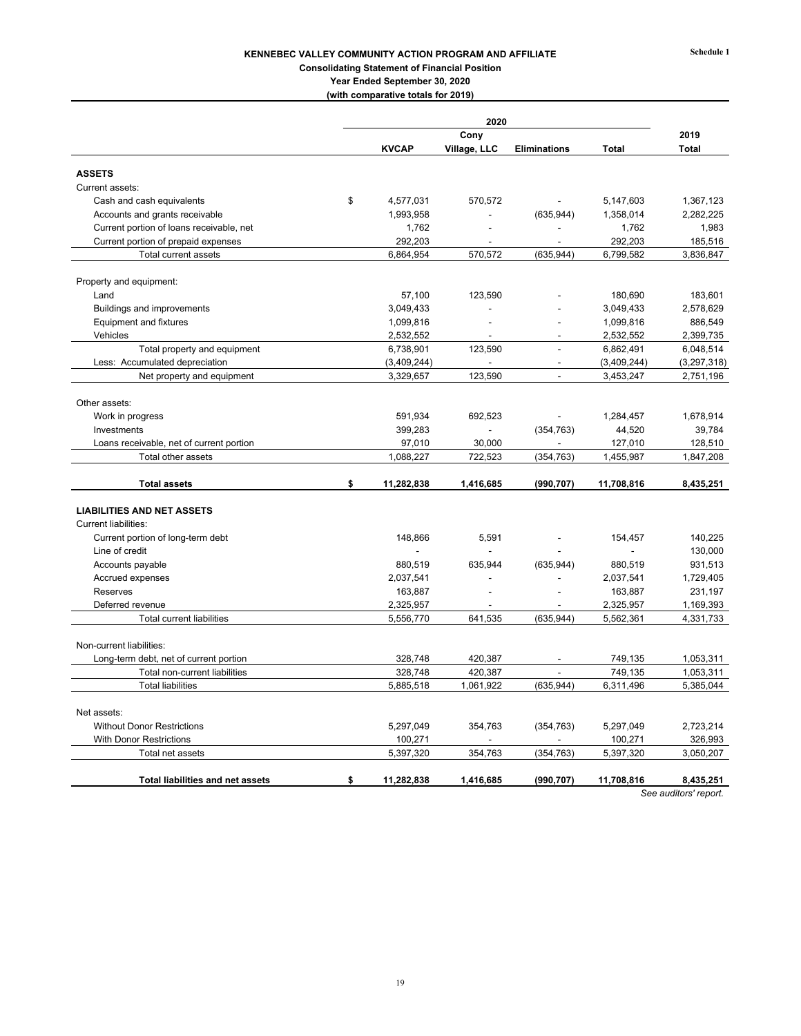#### **KENNEBEC VALLEY COMMUNITY ACTION PROGRAM AND AFFILIATE Consolidating Statement of Financial Position Year Ended September 30, 2020 (with comparative totals for 2019)**

|                                          |    | <b>KVCAP</b> | Cony<br>Village, LLC | <b>Eliminations</b> | Total       | 2019<br><b>Total</b>  |
|------------------------------------------|----|--------------|----------------------|---------------------|-------------|-----------------------|
|                                          |    |              |                      |                     |             |                       |
| <b>ASSETS</b>                            |    |              |                      |                     |             |                       |
| Current assets:                          |    |              |                      |                     |             |                       |
| Cash and cash equivalents                | \$ | 4,577,031    | 570,572              |                     | 5,147,603   | 1,367,123             |
| Accounts and grants receivable           |    | 1,993,958    |                      | (635, 944)          | 1,358,014   | 2,282,225             |
| Current portion of loans receivable, net |    | 1,762        |                      |                     | 1,762       | 1,983                 |
| Current portion of prepaid expenses      |    | 292,203      |                      |                     | 292,203     | 185,516               |
| Total current assets                     |    | 6,864,954    | 570,572              | (635, 944)          | 6,799,582   | 3,836,847             |
| Property and equipment:                  |    |              |                      |                     |             |                       |
| Land                                     |    | 57,100       | 123,590              |                     | 180,690     | 183,601               |
| Buildings and improvements               |    | 3,049,433    |                      |                     | 3,049,433   | 2,578,629             |
| <b>Equipment and fixtures</b>            |    | 1,099,816    |                      |                     | 1,099,816   | 886,549               |
| Vehicles                                 |    | 2,532,552    |                      |                     | 2,532,552   | 2,399,735             |
| Total property and equipment             |    | 6,738,901    | 123,590              | $\overline{a}$      | 6,862,491   | 6,048,514             |
| Less: Accumulated depreciation           |    | (3,409,244)  |                      | $\overline{a}$      | (3,409,244) | (3,297,318)           |
| Net property and equipment               |    | 3,329,657    | 123,590              |                     | 3,453,247   | 2,751,196             |
|                                          |    |              |                      |                     |             |                       |
| Other assets:                            |    |              |                      |                     |             |                       |
| Work in progress                         |    | 591,934      | 692,523              |                     | 1,284,457   | 1,678,914             |
| Investments                              |    | 399.283      | $\blacksquare$       | (354, 763)          | 44,520      | 39,784                |
| Loans receivable, net of current portion |    | 97,010       | 30,000               |                     | 127,010     | 128,510               |
| Total other assets                       |    | 1,088,227    | 722,523              | (354, 763)          | 1,455,987   | 1,847,208             |
| <b>Total assets</b>                      | \$ | 11,282,838   | 1,416,685            | (990, 707)          | 11,708,816  | 8,435,251             |
|                                          |    |              |                      |                     |             |                       |
| <b>LIABILITIES AND NET ASSETS</b>        |    |              |                      |                     |             |                       |
| Current liabilities:                     |    |              |                      |                     |             |                       |
| Current portion of long-term debt        |    | 148,866      | 5,591                |                     | 154,457     | 140,225               |
| Line of credit                           |    |              |                      |                     |             | 130,000               |
| Accounts payable                         |    | 880,519      | 635,944              | (635, 944)          | 880,519     | 931,513               |
| Accrued expenses                         |    | 2,037,541    |                      |                     | 2,037,541   | 1,729,405             |
| <b>Reserves</b>                          |    | 163,887      | $\overline{a}$       |                     | 163,887     | 231,197               |
| Deferred revenue                         |    | 2,325,957    |                      |                     | 2,325,957   | 1,169,393             |
| <b>Total current liabilities</b>         |    | 5,556,770    | 641,535              | (635, 944)          | 5,562,361   | 4,331,733             |
|                                          |    |              |                      |                     |             |                       |
| Non-current liabilities:                 |    |              |                      |                     |             |                       |
| Long-term debt, net of current portion   |    | 328,748      | 420,387              |                     | 749,135     | 1,053,311             |
| Total non-current liabilities            |    | 328,748      | 420,387              | $\overline{a}$      | 749,135     | 1,053,311             |
| <b>Total liabilities</b>                 |    | 5,885,518    | 1,061,922            | (635, 944)          | 6,311,496   | 5,385,044             |
|                                          |    |              |                      |                     |             |                       |
| Net assets:                              |    |              |                      |                     |             |                       |
| <b>Without Donor Restrictions</b>        |    | 5,297,049    | 354,763              | (354, 763)          | 5,297,049   | 2,723,214             |
| <b>With Donor Restrictions</b>           |    | 100,271      |                      |                     | 100,271     | 326,993               |
| Total net assets                         |    | 5,397,320    | 354,763              | (354, 763)          | 5,397,320   | 3,050,207             |
| <b>Total liabilities and net assets</b>  | \$ | 11,282,838   | 1,416,685            | (990, 707)          | 11,708,816  | 8,435,251             |
|                                          |    |              |                      |                     |             | See auditors' report. |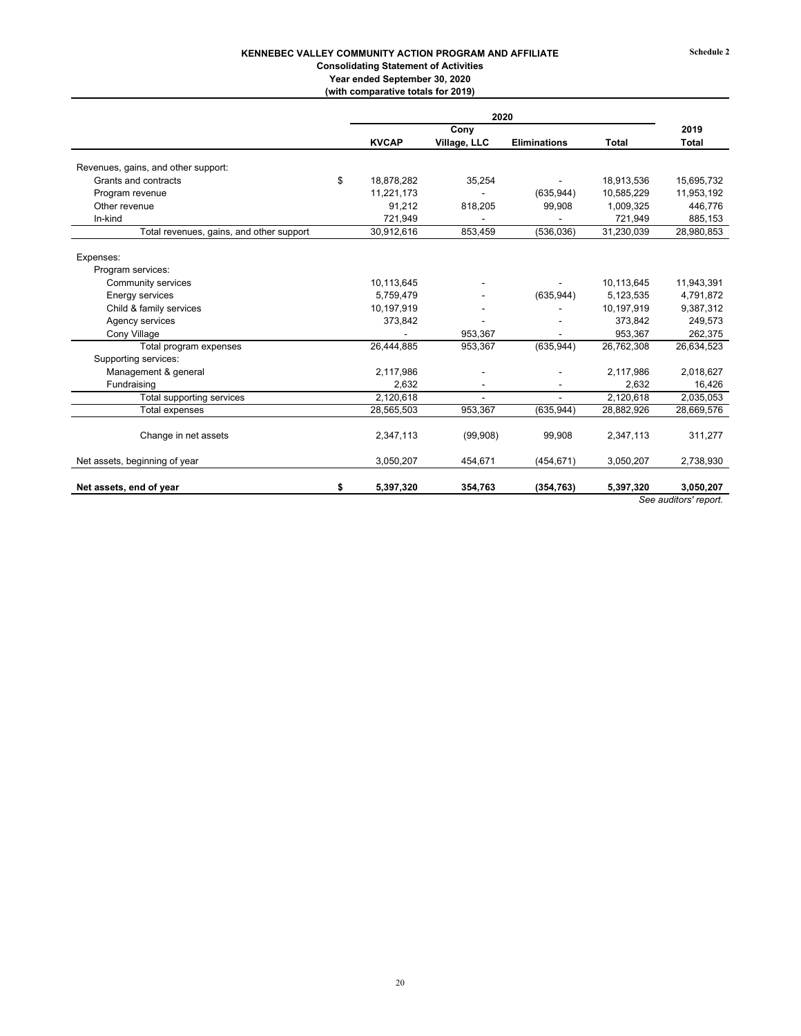#### **KENNEBEC VALLEY COMMUNITY ACTION PROGRAM AND AFFILIATE**

#### **Consolidating Statement of Activities Year ended September 30, 2020**

**(with comparative totals for 2019)**

|                                          |                  | Cony         |                     |              | 2019         |
|------------------------------------------|------------------|--------------|---------------------|--------------|--------------|
|                                          | <b>KVCAP</b>     | Village, LLC | <b>Eliminations</b> | <b>Total</b> | <b>Total</b> |
| Revenues, gains, and other support:      |                  |              |                     |              |              |
| Grants and contracts                     | \$<br>18.878.282 | 35,254       |                     | 18,913,536   | 15,695,732   |
| Program revenue                          | 11,221,173       |              | (635, 944)          | 10,585,229   | 11,953,192   |
| Other revenue                            | 91,212           | 818,205      | 99,908              | 1,009,325    | 446,776      |
| In-kind                                  | 721,949          |              |                     | 721,949      | 885,153      |
| Total revenues, gains, and other support | 30,912,616       | 853,459      | (536, 036)          | 31,230,039   | 28,980,853   |
| Expenses:                                |                  |              |                     |              |              |
| Program services:                        |                  |              |                     |              |              |
| Community services                       | 10,113,645       |              |                     | 10,113,645   | 11,943,391   |
| Energy services                          | 5,759,479        |              | (635, 944)          | 5,123,535    | 4,791,872    |
| Child & family services                  | 10,197,919       |              |                     | 10,197,919   | 9,387,312    |
| Agency services                          | 373,842          |              |                     | 373,842      | 249,573      |
| Cony Village                             |                  | 953.367      |                     | 953,367      | 262,375      |
| Total program expenses                   | 26,444,885       | 953,367      | (635, 944)          | 26,762,308   | 26,634,523   |
| Supporting services:                     |                  |              |                     |              |              |
| Management & general                     | 2,117,986        |              |                     | 2,117,986    | 2,018,627    |
| Fundraising                              | 2,632            |              |                     | 2,632        | 16,426       |
| Total supporting services                | 2,120,618        |              |                     | 2,120,618    | 2,035,053    |
| Total expenses                           | 28,565,503       | 953,367      | (635, 944)          | 28,882,926   | 28,669,576   |
|                                          |                  |              |                     |              |              |
| Change in net assets                     | 2,347,113        | (99,908)     | 99,908              | 2,347,113    | 311,277      |
| Net assets, beginning of year            | 3,050,207        | 454,671      | (454, 671)          | 3,050,207    | 2,738,930    |
| Net assets, end of year                  | \$<br>5,397,320  | 354,763      | (354, 763)          | 5,397,320    | 3,050,207    |

*See auditors' report.*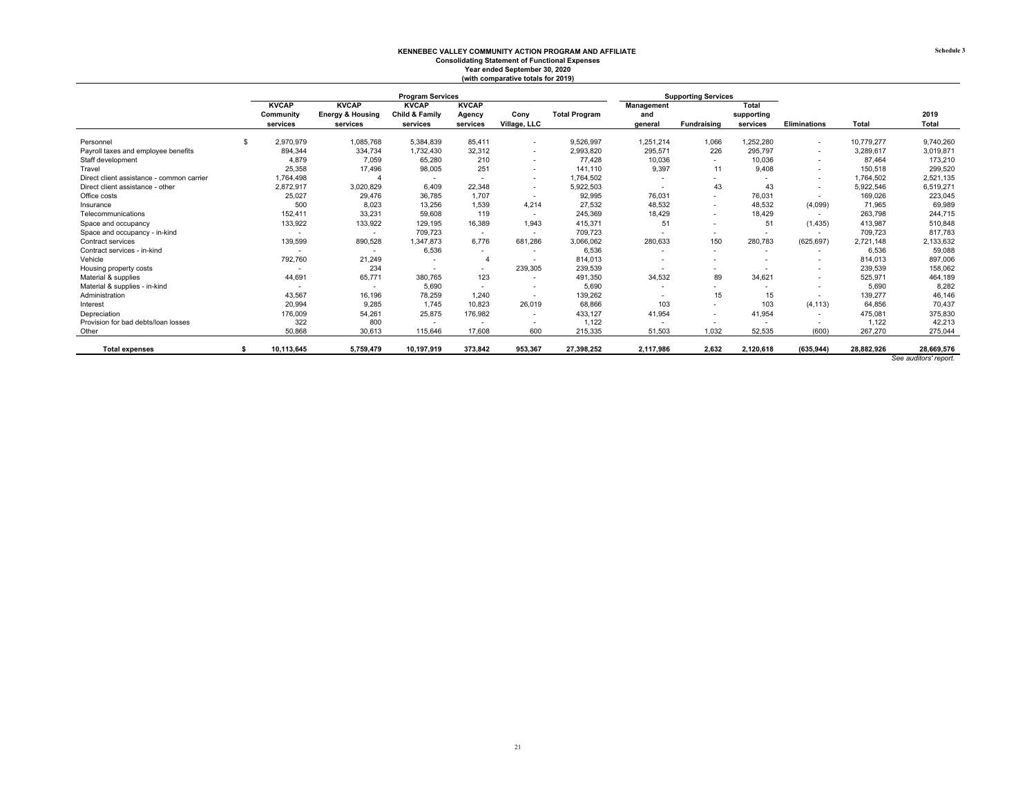#### **KENNEBEC VALLEY COMMUNITY ACTION PROGRAM AND AFFILIATE Consolidating Statement of Functional Expenses Year ended September 30, 2020 (with comparative totals for 2019)**

|                                           |   | <b>Program Services</b>               |                                                         |                                                       |                                    |                          |                      | <b>Supporting Services</b>          |                          |                                 |                          |            |                       |
|-------------------------------------------|---|---------------------------------------|---------------------------------------------------------|-------------------------------------------------------|------------------------------------|--------------------------|----------------------|-------------------------------------|--------------------------|---------------------------------|--------------------------|------------|-----------------------|
|                                           |   | <b>KVCAP</b><br>Community<br>services | <b>KVCAP</b><br><b>Energy &amp; Housing</b><br>services | <b>KVCAP</b><br><b>Child &amp; Family</b><br>services | <b>KVCAP</b><br>Agency<br>services | Conv<br>Village, LLC     | <b>Total Program</b> | <b>Management</b><br>and<br>general | <b>Fundraising</b>       | Total<br>supporting<br>services | <b>Eliminations</b>      | Total      | 2019<br>Total         |
|                                           |   |                                       |                                                         |                                                       |                                    |                          |                      |                                     |                          |                                 |                          |            |                       |
| Personnel                                 | S | 2.970.979                             | 1.085.768                                               | 5.384.839                                             | 85.411                             | $\blacksquare$           | 9.526.997            | 1,251,214                           | 1.066                    | 1,252,280                       | $\overline{\phantom{a}}$ | 10.779.277 | 9,740,260             |
| Payroll taxes and employee benefits       |   | 894.344                               | 334.734                                                 | 1.732.430                                             | 32.312                             | $\overline{\phantom{a}}$ | 2,993,820            | 295,571                             | 226                      | 295,797                         | $\overline{\phantom{a}}$ | 3.289.617  | 3,019,871             |
| Staff development                         |   | 4.879                                 | 7.059                                                   | 65.280                                                | 210                                | $\overline{\phantom{a}}$ | 77.428               | 10.036                              | $\overline{\phantom{a}}$ | 10,036                          | $\overline{\phantom{a}}$ | 87.464     | 173,210               |
| Travel                                    |   | 25,358                                | 17.496                                                  | 98,005                                                | 251                                | $\overline{\phantom{a}}$ | 141.110              | 9,397                               | 11                       | 9,408                           | -                        | 150,518    | 299,520               |
| Direct client assistance - common carrier |   | 1.764.498                             |                                                         | $\overline{\phantom{a}}$                              | $\overline{\phantom{a}}$           | $\blacksquare$           | 1,764,502            | $\overline{\phantom{a}}$            | $\overline{\phantom{a}}$ | $\overline{\phantom{a}}$        | $\overline{\phantom{a}}$ | 1,764,502  | 2,521,135             |
| Direct client assistance - other          |   | 2,872,917                             | 3,020,829                                               | 6.409                                                 | 22,348                             | $\overline{\phantom{a}}$ | 5,922,503            | $\overline{\phantom{a}}$            | 43                       | 43                              | $\overline{\phantom{a}}$ | 5,922,546  | 6,519,271             |
| Office costs                              |   | 25,027                                | 29,476                                                  | 36.785                                                | 1.707                              | $\overline{\phantom{a}}$ | 92,995               | 76,031                              | $\sim$                   | 76,031                          | $\overline{\phantom{a}}$ | 169,026    | 223,045               |
| Insurance                                 |   | 500                                   | 8.023                                                   | 13.256                                                | 1.539                              | 4.214                    | 27,532               | 48,532                              |                          | 48,532                          | (4,099)                  | 71.965     | 69,989                |
| Telecommunications                        |   | 152,411                               | 33.231                                                  | 59.608                                                | 119                                | $\overline{\phantom{a}}$ | 245,369              | 18.429                              |                          | 18.429                          | $\sim$                   | 263.798    | 244,715               |
| Space and occupancy                       |   | 133,922                               | 133,922                                                 | 129.195                                               | 16,389                             | 1,943                    | 415.371              | 51                                  | $\overline{\phantom{a}}$ | 51                              | (1, 435)                 | 413,987    | 510,848               |
| Space and occupancy - in-kind             |   |                                       | $\overline{\phantom{a}}$                                | 709.723                                               | $\sim$                             | $\overline{\phantom{a}}$ | 709,723              | $\overline{\phantom{a}}$            | $\overline{\phantom{a}}$ | $\overline{\phantom{a}}$        | $\overline{\phantom{a}}$ | 709,723    | 817,783               |
| Contract services                         |   | 139,599                               | 890,528                                                 | 1,347,873                                             | 6.776                              | 681,286                  | 3,066,062            | 280,633                             | 150                      | 280,783                         | (625, 697)               | 2,721,148  | 2,133,632             |
| Contract services - in-kind               |   |                                       | $\overline{\phantom{a}}$                                | 6,536                                                 | $\sim$                             | $\overline{\phantom{a}}$ | 6,536                | $\overline{\phantom{a}}$            | $\sim$                   | $\overline{\phantom{a}}$        | $\overline{\phantom{a}}$ | 6.536      | 59,088                |
| Vehicle                                   |   | 792,760                               | 21.249                                                  | $\overline{\phantom{a}}$                              | $\Delta$                           |                          | 814,013              | $\overline{\phantom{a}}$            |                          | $\overline{\phantom{a}}$        | $\overline{\phantom{a}}$ | 814.013    | 897,006               |
| Housing property costs                    |   |                                       | 234                                                     |                                                       | $\overline{\phantom{a}}$           | 239,305                  | 239,539              |                                     | $\overline{\phantom{a}}$ | $\overline{\phantom{a}}$        | $\overline{\phantom{a}}$ | 239,539    | 158,062               |
| Material & supplies                       |   | 44,691                                | 65,771                                                  | 380.765                                               | 123                                |                          | 491,350              | 34,532                              | 89                       | 34,621                          | -                        | 525,971    | 464,189               |
| Material & supplies - in-kind             |   |                                       | $\overline{\phantom{a}}$                                | 5,690                                                 | $\overline{\phantom{0}}$           |                          | 5,690                | $\overline{\phantom{a}}$            | $\overline{\phantom{a}}$ | $\overline{\phantom{a}}$        | $\overline{\phantom{0}}$ | 5,690      | 8,282                 |
| Administration                            |   | 43,567                                | 16,196                                                  | 78,259                                                | 1.240                              | $\overline{\phantom{a}}$ | 139,262              | $\overline{\phantom{a}}$            | 15                       | 15                              | $\overline{\phantom{a}}$ | 139,277    | 46,146                |
| Interest                                  |   | 20,994                                | 9.285                                                   | 1.745                                                 | 10.823                             | 26,019                   | 68,866               | 103                                 | $\sim$                   | 103                             | (4, 113)                 | 64.856     | 70,437                |
| Depreciation                              |   | 176,009                               | 54.261                                                  | 25,875                                                | 176,982                            | $\overline{\phantom{a}}$ | 433.127              | 41,954                              |                          | 41,954                          | $\overline{\phantom{a}}$ | 475,081    | 375,830               |
| Provision for bad debts/loan losses       |   | 322                                   | 800                                                     | $\overline{\phantom{a}}$                              |                                    | $\overline{\phantom{a}}$ | 1,122                | $\overline{\phantom{a}}$            |                          | $\overline{\phantom{a}}$        | $\overline{\phantom{a}}$ | 1,122      | 42,213                |
| Other                                     |   | 50.868                                | 30.613                                                  | 115,646                                               | 17,608                             | 600                      | 215,335              | 51.503                              | 1.032                    | 52,535                          | (600)                    | 267.270    | 275,044               |
| <b>Total expenses</b>                     |   | 10.113.645                            | 5.759.479                                               | 10,197,919                                            | 373.842                            | 953.367                  | 27.398.252           | 2.117.986                           | 2.632                    | 2.120.618                       | (635.944)                | 28.882.926 | 28,669,576            |
|                                           |   |                                       |                                                         |                                                       |                                    |                          |                      |                                     |                          |                                 |                          |            | See auditors' report. |